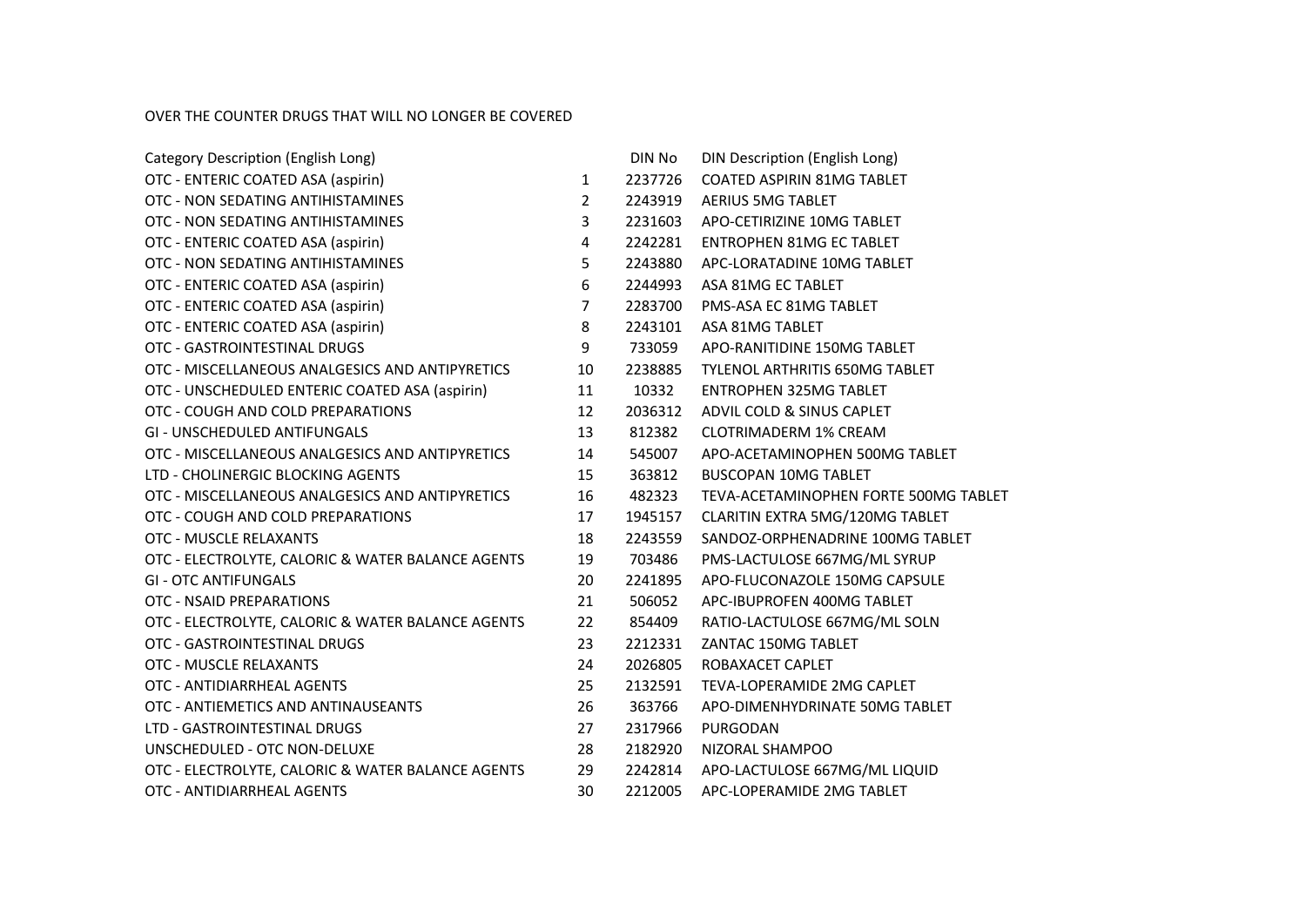## OVER THE COUNTER DRUGS THAT WILL NO LONGER BE COVERED

| Category Description (English Long)               |                | DIN No  | <b>DIN Description (English Long)</b> |
|---------------------------------------------------|----------------|---------|---------------------------------------|
| OTC - ENTERIC COATED ASA (aspirin)                | 1              | 2237726 | <b>COATED ASPIRIN 81MG TABLET</b>     |
| OTC - NON SEDATING ANTIHISTAMINES                 | $\overline{2}$ | 2243919 | <b>AERIUS 5MG TABLET</b>              |
| OTC - NON SEDATING ANTIHISTAMINES                 | 3              | 2231603 | APO-CETIRIZINE 10MG TABLET            |
| OTC - ENTERIC COATED ASA (aspirin)                | 4              | 2242281 | <b>ENTROPHEN 81MG EC TABLET</b>       |
| OTC - NON SEDATING ANTIHISTAMINES                 | 5              | 2243880 | APC-LORATADINE 10MG TABLET            |
| OTC - ENTERIC COATED ASA (aspirin)                | 6              | 2244993 | ASA 81MG EC TABLET                    |
| OTC - ENTERIC COATED ASA (aspirin)                | $\overline{7}$ | 2283700 | PMS-ASA EC 81MG TABLET                |
| OTC - ENTERIC COATED ASA (aspirin)                | 8              | 2243101 | ASA 81MG TABLET                       |
| OTC - GASTROINTESTINAL DRUGS                      | 9              | 733059  | APO-RANITIDINE 150MG TABLET           |
| OTC - MISCELLANEOUS ANALGESICS AND ANTIPYRETICS   | 10             | 2238885 | <b>TYLENOL ARTHRITIS 650MG TABLET</b> |
| OTC - UNSCHEDULED ENTERIC COATED ASA (aspirin)    | 11             | 10332   | <b>ENTROPHEN 325MG TABLET</b>         |
| OTC - COUGH AND COLD PREPARATIONS                 | 12             | 2036312 | ADVIL COLD & SINUS CAPLET             |
| GI - UNSCHEDULED ANTIFUNGALS                      | 13             | 812382  | <b>CLOTRIMADERM 1% CREAM</b>          |
| OTC - MISCELLANEOUS ANALGESICS AND ANTIPYRETICS   | 14             | 545007  | APO-ACETAMINOPHEN 500MG TABLET        |
| LTD - CHOLINERGIC BLOCKING AGENTS                 | 15             | 363812  | <b>BUSCOPAN 10MG TABLET</b>           |
| OTC - MISCELLANEOUS ANALGESICS AND ANTIPYRETICS   | 16             | 482323  | TEVA-ACETAMINOPHEN FORTE 500MG TABLET |
| OTC - COUGH AND COLD PREPARATIONS                 | 17             | 1945157 | CLARITIN EXTRA 5MG/120MG TABLET       |
| OTC - MUSCLE RELAXANTS                            | 18             | 2243559 | SANDOZ-ORPHENADRINE 100MG TABLET      |
| OTC - ELECTROLYTE, CALORIC & WATER BALANCE AGENTS | 19             | 703486  | PMS-LACTULOSE 667MG/ML SYRUP          |
| <b>GI - OTC ANTIFUNGALS</b>                       | 20             | 2241895 | APO-FLUCONAZOLE 150MG CAPSULE         |
| OTC - NSAID PREPARATIONS                          | 21             | 506052  | APC-IBUPROFEN 400MG TABLET            |
| OTC - ELECTROLYTE, CALORIC & WATER BALANCE AGENTS | 22             | 854409  | RATIO-LACTULOSE 667MG/ML SOLN         |
| OTC - GASTROINTESTINAL DRUGS                      | 23             | 2212331 | ZANTAC 150MG TABLET                   |
| OTC - MUSCLE RELAXANTS                            | 24             | 2026805 | ROBAXACET CAPLET                      |
| OTC - ANTIDIARRHEAL AGENTS                        | 25             | 2132591 | <b>TEVA-LOPERAMIDE 2MG CAPLET</b>     |
| OTC - ANTIEMETICS AND ANTINAUSEANTS               | 26             | 363766  | APO-DIMENHYDRINATE 50MG TABLET        |
| LTD - GASTROINTESTINAL DRUGS                      | 27             | 2317966 | PURGODAN                              |
| UNSCHEDULED - OTC NON-DELUXE                      | 28             | 2182920 | NIZORAL SHAMPOO                       |
| OTC - ELECTROLYTE, CALORIC & WATER BALANCE AGENTS | 29             | 2242814 | APO-LACTULOSE 667MG/ML LIQUID         |
| OTC - ANTIDIARRHEAL AGENTS                        | 30             | 2212005 | APC-LOPERAMIDE 2MG TABLET             |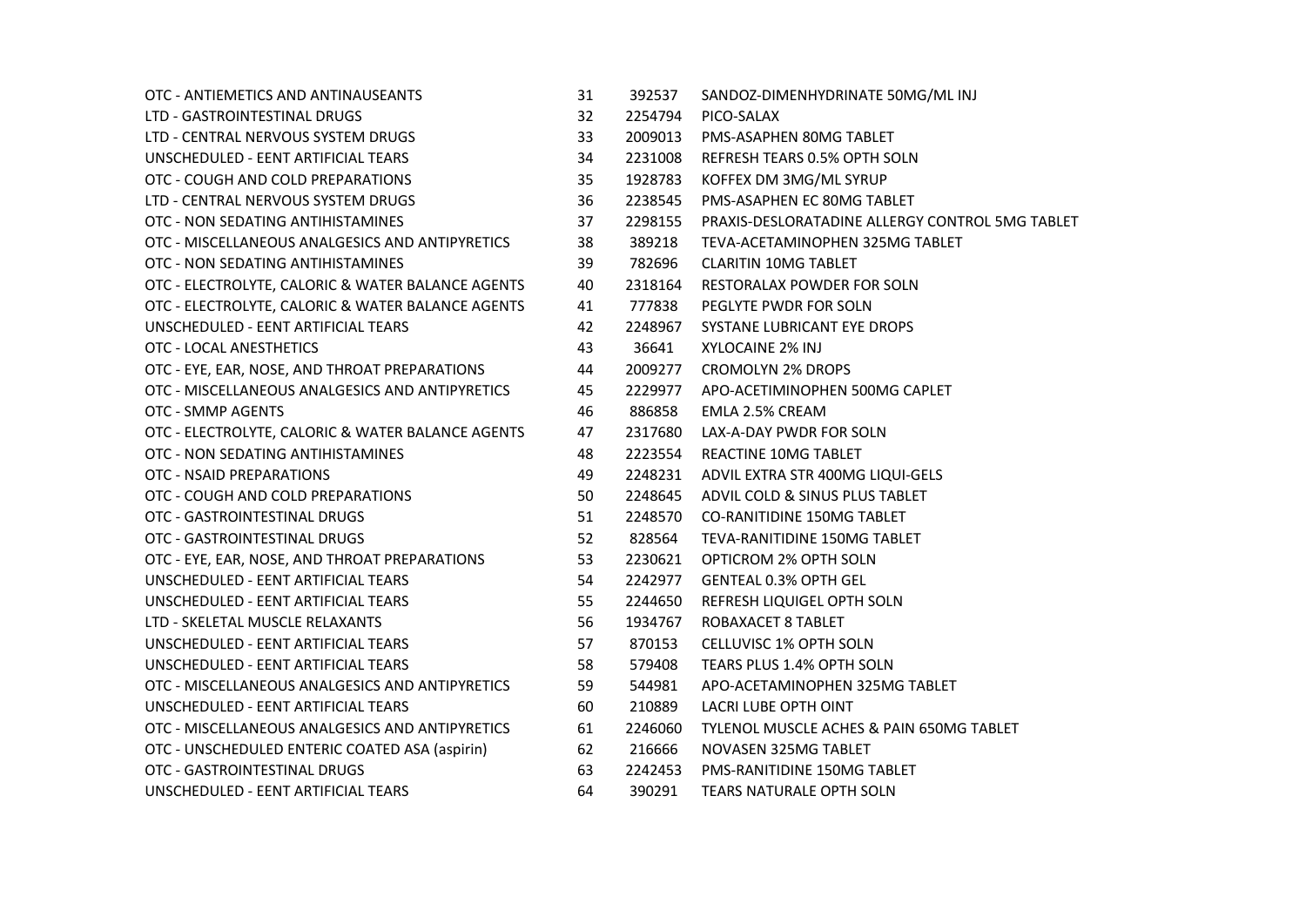| OTC - ANTIEMETICS AND ANTINAUSEANTS               | 31 | 392537  | SANDOZ-DIMENHYDRINATE 50MG/ML INJ               |
|---------------------------------------------------|----|---------|-------------------------------------------------|
| LTD - GASTROINTESTINAL DRUGS                      | 32 | 2254794 | PICO-SALAX                                      |
| LTD - CENTRAL NERVOUS SYSTEM DRUGS                | 33 | 2009013 | PMS-ASAPHEN 80MG TABLET                         |
| UNSCHEDULED - EENT ARTIFICIAL TEARS               | 34 | 2231008 | REFRESH TEARS 0.5% OPTH SOLN                    |
| OTC - COUGH AND COLD PREPARATIONS                 | 35 | 1928783 | KOFFEX DM 3MG/ML SYRUP                          |
| LTD - CENTRAL NERVOUS SYSTEM DRUGS                | 36 | 2238545 | PMS-ASAPHEN EC 80MG TABLET                      |
| OTC - NON SEDATING ANTIHISTAMINES                 | 37 | 2298155 | PRAXIS-DESLORATADINE ALLERGY CONTROL 5MG TABLET |
| OTC - MISCELLANEOUS ANALGESICS AND ANTIPYRETICS   | 38 | 389218  | TEVA-ACETAMINOPHEN 325MG TABLET                 |
| OTC - NON SEDATING ANTIHISTAMINES                 | 39 | 782696  | <b>CLARITIN 10MG TABLET</b>                     |
| OTC - ELECTROLYTE, CALORIC & WATER BALANCE AGENTS | 40 | 2318164 | RESTORALAX POWDER FOR SOLN                      |
| OTC - ELECTROLYTE, CALORIC & WATER BALANCE AGENTS | 41 | 777838  | PEGLYTE PWDR FOR SOLN                           |
| UNSCHEDULED - EENT ARTIFICIAL TEARS               | 42 | 2248967 | SYSTANE LUBRICANT EYE DROPS                     |
| OTC - LOCAL ANESTHETICS                           | 43 | 36641   | XYLOCAINE 2% INJ                                |
| OTC - EYE, EAR, NOSE, AND THROAT PREPARATIONS     | 44 | 2009277 | <b>CROMOLYN 2% DROPS</b>                        |
| OTC - MISCELLANEOUS ANALGESICS AND ANTIPYRETICS   | 45 | 2229977 | APO-ACETIMINOPHEN 500MG CAPLET                  |
| OTC - SMMP AGENTS                                 | 46 | 886858  | EMLA 2.5% CREAM                                 |
| OTC - ELECTROLYTE, CALORIC & WATER BALANCE AGENTS | 47 | 2317680 | LAX-A-DAY PWDR FOR SOLN                         |
| OTC - NON SEDATING ANTIHISTAMINES                 | 48 | 2223554 | <b>REACTINE 10MG TABLET</b>                     |
| OTC - NSAID PREPARATIONS                          | 49 | 2248231 | ADVIL EXTRA STR 400MG LIQUI-GELS                |
| OTC - COUGH AND COLD PREPARATIONS                 | 50 | 2248645 | ADVIL COLD & SINUS PLUS TABLET                  |
| OTC - GASTROINTESTINAL DRUGS                      | 51 | 2248570 | <b>CO-RANITIDINE 150MG TABLET</b>               |
| OTC - GASTROINTESTINAL DRUGS                      | 52 | 828564  | TEVA-RANITIDINE 150MG TABLET                    |
| OTC - EYE, EAR, NOSE, AND THROAT PREPARATIONS     | 53 | 2230621 | OPTICROM 2% OPTH SOLN                           |
| UNSCHEDULED - EENT ARTIFICIAL TEARS               | 54 | 2242977 | <b>GENTEAL 0.3% OPTH GEL</b>                    |
| UNSCHEDULED - EENT ARTIFICIAL TEARS               | 55 | 2244650 | REFRESH LIQUIGEL OPTH SOLN                      |
| LTD - SKELETAL MUSCLE RELAXANTS                   | 56 | 1934767 | ROBAXACET 8 TABLET                              |
| UNSCHEDULED - EENT ARTIFICIAL TEARS               | 57 | 870153  | CELLUVISC 1% OPTH SOLN                          |
| UNSCHEDULED - EENT ARTIFICIAL TEARS               | 58 | 579408  | TEARS PLUS 1.4% OPTH SOLN                       |
| OTC - MISCELLANEOUS ANALGESICS AND ANTIPYRETICS   | 59 | 544981  | APO-ACETAMINOPHEN 325MG TABLET                  |
| UNSCHEDULED - EENT ARTIFICIAL TEARS               | 60 | 210889  | LACRI LUBE OPTH OINT                            |
| OTC - MISCELLANEOUS ANALGESICS AND ANTIPYRETICS   | 61 | 2246060 | TYLENOL MUSCLE ACHES & PAIN 650MG TABLET        |
| OTC - UNSCHEDULED ENTERIC COATED ASA (aspirin)    | 62 | 216666  | NOVASEN 325MG TABLET                            |
| OTC - GASTROINTESTINAL DRUGS                      | 63 | 2242453 | <b>PMS-RANITIDINE 150MG TABLET</b>              |
| UNSCHEDULED - EENT ARTIFICIAL TEARS               | 64 | 390291  | TEARS NATURALE OPTH SOLN                        |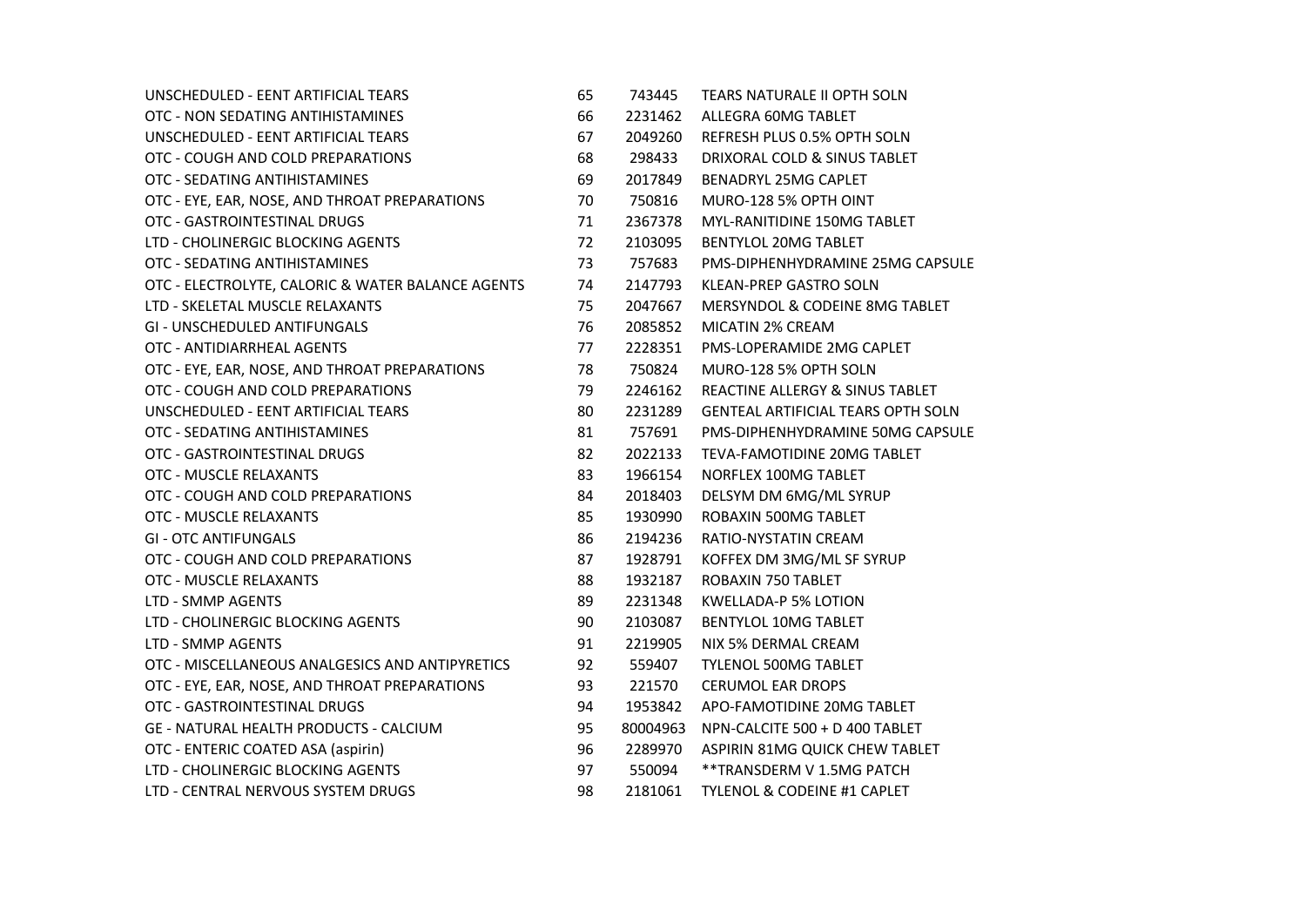| UNSCHEDULED - EENT ARTIFICIAL TEARS               | 65 | 743445   | TEARS NATURALE II OPTH SOLN               |
|---------------------------------------------------|----|----------|-------------------------------------------|
| OTC - NON SEDATING ANTIHISTAMINES                 | 66 | 2231462  | ALLEGRA 60MG TABLET                       |
| UNSCHEDULED - EENT ARTIFICIAL TEARS               | 67 | 2049260  | REFRESH PLUS 0.5% OPTH SOLN               |
| OTC - COUGH AND COLD PREPARATIONS                 | 68 | 298433   | DRIXORAL COLD & SINUS TABLET              |
| OTC - SEDATING ANTIHISTAMINES                     | 69 | 2017849  | BENADRYL 25MG CAPLET                      |
| OTC - EYE, EAR, NOSE, AND THROAT PREPARATIONS     | 70 | 750816   | MURO-128 5% OPTH OINT                     |
| OTC - GASTROINTESTINAL DRUGS                      | 71 | 2367378  | MYL-RANITIDINE 150MG TABLET               |
| LTD - CHOLINERGIC BLOCKING AGENTS                 | 72 | 2103095  | BENTYLOL 20MG TABLET                      |
| OTC - SEDATING ANTIHISTAMINES                     | 73 | 757683   | PMS-DIPHENHYDRAMINE 25MG CAPSULE          |
| OTC - ELECTROLYTE, CALORIC & WATER BALANCE AGENTS | 74 | 2147793  | <b>KLEAN-PREP GASTRO SOLN</b>             |
| LTD - SKELETAL MUSCLE RELAXANTS                   | 75 | 2047667  | MERSYNDOL & CODEINE 8MG TABLET            |
| <b>GI - UNSCHEDULED ANTIFUNGALS</b>               | 76 | 2085852  | MICATIN 2% CREAM                          |
| OTC - ANTIDIARRHEAL AGENTS                        | 77 | 2228351  | PMS-LOPERAMIDE 2MG CAPLET                 |
| OTC - EYE, EAR, NOSE, AND THROAT PREPARATIONS     | 78 | 750824   | MURO-128 5% OPTH SOLN                     |
| OTC - COUGH AND COLD PREPARATIONS                 | 79 | 2246162  | REACTINE ALLERGY & SINUS TABLET           |
| UNSCHEDULED - EENT ARTIFICIAL TEARS               | 80 | 2231289  | <b>GENTEAL ARTIFICIAL TEARS OPTH SOLN</b> |
| OTC - SEDATING ANTIHISTAMINES                     | 81 | 757691   | PMS-DIPHENHYDRAMINE 50MG CAPSULE          |
| OTC - GASTROINTESTINAL DRUGS                      | 82 | 2022133  | TEVA-FAMOTIDINE 20MG TABLET               |
| OTC - MUSCLE RELAXANTS                            | 83 | 1966154  | NORFLEX 100MG TABLET                      |
| OTC - COUGH AND COLD PREPARATIONS                 | 84 | 2018403  | DELSYM DM 6MG/ML SYRUP                    |
| OTC - MUSCLE RELAXANTS                            | 85 | 1930990  | ROBAXIN 500MG TABLET                      |
| <b>GI - OTC ANTIFUNGALS</b>                       | 86 | 2194236  | RATIO-NYSTATIN CREAM                      |
| OTC - COUGH AND COLD PREPARATIONS                 | 87 | 1928791  | KOFFEX DM 3MG/ML SF SYRUP                 |
| OTC - MUSCLE RELAXANTS                            | 88 | 1932187  | ROBAXIN 750 TABLET                        |
| LTD - SMMP AGENTS                                 | 89 | 2231348  | KWELLADA-P 5% LOTION                      |
| LTD - CHOLINERGIC BLOCKING AGENTS                 | 90 | 2103087  | <b>BENTYLOL 10MG TABLET</b>               |
| LTD - SMMP AGENTS                                 | 91 | 2219905  | NIX 5% DERMAL CREAM                       |
| OTC - MISCELLANEOUS ANALGESICS AND ANTIPYRETICS   | 92 | 559407   | TYLENOL 500MG TABLET                      |
| OTC - EYE, EAR, NOSE, AND THROAT PREPARATIONS     | 93 | 221570   | <b>CERUMOL EAR DROPS</b>                  |
| OTC - GASTROINTESTINAL DRUGS                      | 94 | 1953842  | APO-FAMOTIDINE 20MG TABLET                |
| <b>GE - NATURAL HEALTH PRODUCTS - CALCIUM</b>     | 95 | 80004963 | NPN-CALCITE 500 + D 400 TABLET            |
| OTC - ENTERIC COATED ASA (aspirin)                | 96 | 2289970  | ASPIRIN 81MG QUICK CHEW TABLET            |
| LTD - CHOLINERGIC BLOCKING AGENTS                 | 97 | 550094   | **TRANSDERM V 1.5MG PATCH                 |
| LTD - CENTRAL NERVOUS SYSTEM DRUGS                | 98 | 2181061  | <b>TYLENOL &amp; CODEINE #1 CAPLET</b>    |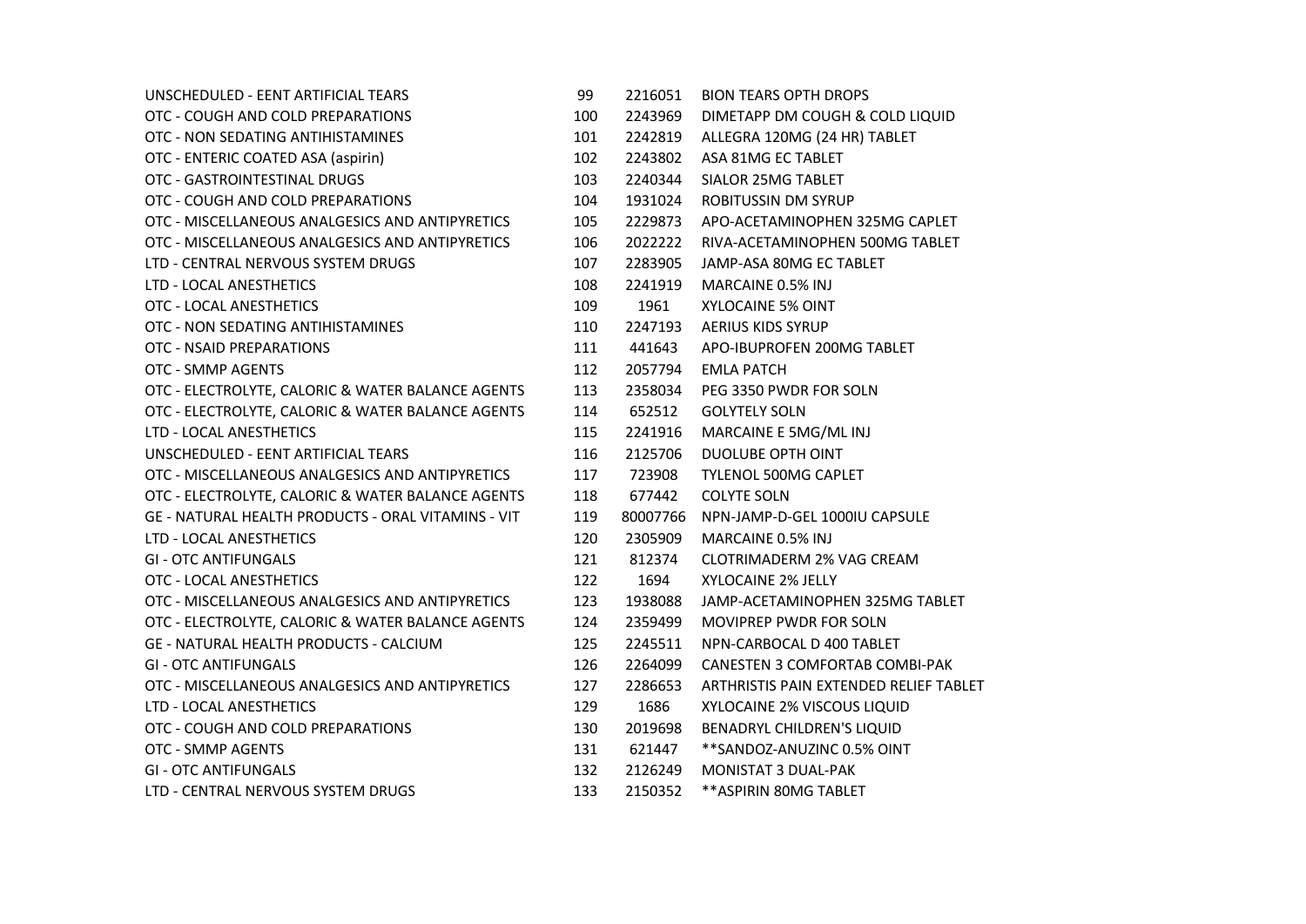| UNSCHEDULED - EENT ARTIFICIAL TEARS                       | 99  | 2216051  | <b>BION TEARS OPTH DROPS</b>           |
|-----------------------------------------------------------|-----|----------|----------------------------------------|
| OTC - COUGH AND COLD PREPARATIONS                         | 100 | 2243969  | DIMETAPP DM COUGH & COLD LIQUID        |
| OTC - NON SEDATING ANTIHISTAMINES                         | 101 | 2242819  | ALLEGRA 120MG (24 HR) TABLET           |
| OTC - ENTERIC COATED ASA (aspirin)                        | 102 | 2243802  | ASA 81MG EC TABLET                     |
| OTC - GASTROINTESTINAL DRUGS                              | 103 | 2240344  | SIALOR 25MG TABLET                     |
| OTC - COUGH AND COLD PREPARATIONS                         | 104 | 1931024  | <b>ROBITUSSIN DM SYRUP</b>             |
| OTC - MISCELLANEOUS ANALGESICS AND ANTIPYRETICS           | 105 | 2229873  | APO-ACETAMINOPHEN 325MG CAPLET         |
| OTC - MISCELLANEOUS ANALGESICS AND ANTIPYRETICS           | 106 | 2022222  | RIVA-ACETAMINOPHEN 500MG TABLET        |
| LTD - CENTRAL NERVOUS SYSTEM DRUGS                        | 107 | 2283905  | JAMP-ASA 80MG EC TABLET                |
| LTD - LOCAL ANESTHETICS                                   | 108 | 2241919  | MARCAINE 0.5% INJ                      |
| OTC - LOCAL ANESTHETICS                                   | 109 | 1961     | <b>XYLOCAINE 5% OINT</b>               |
| OTC - NON SEDATING ANTIHISTAMINES                         | 110 | 2247193  | <b>AERIUS KIDS SYRUP</b>               |
| <b>OTC - NSAID PREPARATIONS</b>                           | 111 | 441643   | APO-IBUPROFEN 200MG TABLET             |
| OTC - SMMP AGENTS                                         | 112 | 2057794  | <b>EMLA PATCH</b>                      |
| OTC - ELECTROLYTE, CALORIC & WATER BALANCE AGENTS         | 113 | 2358034  | PEG 3350 PWDR FOR SOLN                 |
| OTC - ELECTROLYTE, CALORIC & WATER BALANCE AGENTS         | 114 | 652512   | <b>GOLYTELY SOLN</b>                   |
| LTD - LOCAL ANESTHETICS                                   | 115 | 2241916  | MARCAINE E 5MG/ML INJ                  |
| UNSCHEDULED - EENT ARTIFICIAL TEARS                       | 116 | 2125706  | DUOLUBE OPTH OINT                      |
| OTC - MISCELLANEOUS ANALGESICS AND ANTIPYRETICS           | 117 | 723908   | <b>TYLENOL 500MG CAPLET</b>            |
| OTC - ELECTROLYTE, CALORIC & WATER BALANCE AGENTS         | 118 | 677442   | <b>COLYTE SOLN</b>                     |
| <b>GE - NATURAL HEALTH PRODUCTS - ORAL VITAMINS - VIT</b> | 119 | 80007766 | NPN-JAMP-D-GEL 1000IU CAPSULE          |
| LTD - LOCAL ANESTHETICS                                   | 120 | 2305909  | MARCAINE 0.5% INJ                      |
| <b>GI - OTC ANTIFUNGALS</b>                               | 121 | 812374   | <b>CLOTRIMADERM 2% VAG CREAM</b>       |
| OTC - LOCAL ANESTHETICS                                   | 122 | 1694     | XYLOCAINE 2% JELLY                     |
| OTC - MISCELLANEOUS ANALGESICS AND ANTIPYRETICS           | 123 | 1938088  | JAMP-ACETAMINOPHEN 325MG TABLET        |
| OTC - ELECTROLYTE, CALORIC & WATER BALANCE AGENTS         | 124 | 2359499  | <b>MOVIPREP PWDR FOR SOLN</b>          |
| <b>GE - NATURAL HEALTH PRODUCTS - CALCIUM</b>             | 125 | 2245511  | NPN-CARBOCAL D 400 TABLET              |
| <b>GI - OTC ANTIFUNGALS</b>                               | 126 | 2264099  | <b>CANESTEN 3 COMFORTAB COMBI-PAK</b>  |
| OTC - MISCELLANEOUS ANALGESICS AND ANTIPYRETICS           | 127 | 2286653  | ARTHRISTIS PAIN EXTENDED RELIEF TABLET |
| LTD - LOCAL ANESTHETICS                                   | 129 | 1686     | XYLOCAINE 2% VISCOUS LIQUID            |
| OTC - COUGH AND COLD PREPARATIONS                         | 130 | 2019698  | BENADRYL CHILDREN'S LIQUID             |
| OTC - SMMP AGENTS                                         | 131 | 621447   | **SANDOZ-ANUZINC 0.5% OINT             |
| <b>GI - OTC ANTIFUNGALS</b>                               | 132 | 2126249  | MONISTAT 3 DUAL-PAK                    |
| LTD - CENTRAL NERVOUS SYSTEM DRUGS                        | 133 | 2150352  | ** ASPIRIN 80MG TABLET                 |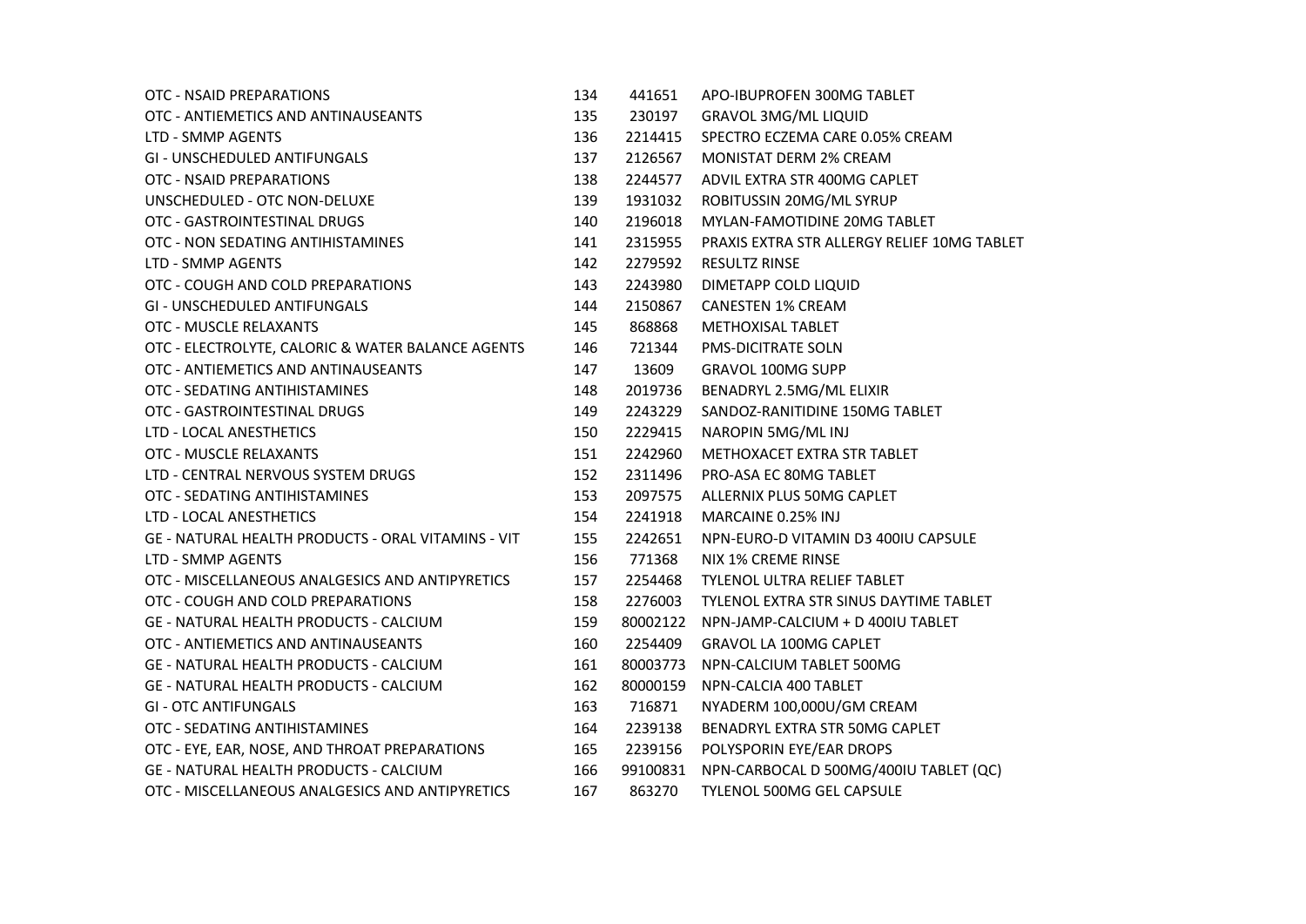| OTC - NSAID PREPARATIONS                           | 134 | 441651   | APO-IBUPROFEN 300MG TABLET                  |
|----------------------------------------------------|-----|----------|---------------------------------------------|
| OTC - ANTIEMETICS AND ANTINAUSEANTS                | 135 | 230197   | <b>GRAVOL 3MG/ML LIQUID</b>                 |
| LTD - SMMP AGENTS                                  | 136 | 2214415  | SPECTRO ECZEMA CARE 0.05% CREAM             |
| <b>GI - UNSCHEDULED ANTIFUNGALS</b>                | 137 | 2126567  | <b>MONISTAT DERM 2% CREAM</b>               |
| OTC - NSAID PREPARATIONS                           | 138 | 2244577  | ADVIL EXTRA STR 400MG CAPLET                |
| UNSCHEDULED - OTC NON-DELUXE                       | 139 | 1931032  | ROBITUSSIN 20MG/ML SYRUP                    |
| OTC - GASTROINTESTINAL DRUGS                       | 140 | 2196018  | MYLAN-FAMOTIDINE 20MG TABLET                |
| OTC - NON SEDATING ANTIHISTAMINES                  | 141 | 2315955  | PRAXIS EXTRA STR ALLERGY RELIEF 10MG TABLET |
| LTD - SMMP AGENTS                                  | 142 | 2279592  | <b>RESULTZ RINSE</b>                        |
| OTC - COUGH AND COLD PREPARATIONS                  | 143 | 2243980  | DIMETAPP COLD LIQUID                        |
| <b>GI - UNSCHEDULED ANTIFUNGALS</b>                | 144 | 2150867  | <b>CANESTEN 1% CREAM</b>                    |
| OTC - MUSCLE RELAXANTS                             | 145 | 868868   | <b>METHOXISAL TABLET</b>                    |
| OTC - ELECTROLYTE, CALORIC & WATER BALANCE AGENTS  | 146 | 721344   | <b>PMS-DICITRATE SOLN</b>                   |
| OTC - ANTIEMETICS AND ANTINAUSEANTS                | 147 | 13609    | <b>GRAVOL 100MG SUPP</b>                    |
| OTC - SEDATING ANTIHISTAMINES                      | 148 | 2019736  | BENADRYL 2.5MG/ML ELIXIR                    |
| OTC - GASTROINTESTINAL DRUGS                       | 149 | 2243229  | SANDOZ-RANITIDINE 150MG TABLET              |
| LTD - LOCAL ANESTHETICS                            | 150 | 2229415  | NAROPIN 5MG/ML INJ                          |
| OTC - MUSCLE RELAXANTS                             | 151 | 2242960  | METHOXACET EXTRA STR TABLET                 |
| LTD - CENTRAL NERVOUS SYSTEM DRUGS                 | 152 | 2311496  | PRO-ASA EC 80MG TABLET                      |
| OTC - SEDATING ANTIHISTAMINES                      | 153 | 2097575  | ALLERNIX PLUS 50MG CAPLET                   |
| LTD - LOCAL ANESTHETICS                            | 154 | 2241918  | MARCAINE 0.25% INJ                          |
| GE - NATURAL HEALTH PRODUCTS - ORAL VITAMINS - VIT | 155 | 2242651  | NPN-EURO-D VITAMIN D3 400IU CAPSULE         |
| LTD - SMMP AGENTS                                  | 156 | 771368   | <b>NIX 1% CREME RINSE</b>                   |
| OTC - MISCELLANEOUS ANALGESICS AND ANTIPYRETICS    | 157 | 2254468  | <b>TYLENOL ULTRA RELIEF TABLET</b>          |
| OTC - COUGH AND COLD PREPARATIONS                  | 158 | 2276003  | TYLENOL EXTRA STR SINUS DAYTIME TABLET      |
| <b>GE - NATURAL HEALTH PRODUCTS - CALCIUM</b>      | 159 | 80002122 | NPN-JAMP-CALCIUM + D 400IU TABLET           |
| OTC - ANTIEMETICS AND ANTINAUSEANTS                | 160 | 2254409  | <b>GRAVOL LA 100MG CAPLET</b>               |
| <b>GE - NATURAL HEALTH PRODUCTS - CALCIUM</b>      | 161 | 80003773 | NPN-CALCIUM TABLET 500MG                    |
| <b>GE - NATURAL HEALTH PRODUCTS - CALCIUM</b>      | 162 | 80000159 | NPN-CALCIA 400 TABLET                       |
| <b>GI - OTC ANTIFUNGALS</b>                        | 163 | 716871   | NYADERM 100,000U/GM CREAM                   |
| OTC - SEDATING ANTIHISTAMINES                      | 164 | 2239138  | BENADRYL EXTRA STR 50MG CAPLET              |
| OTC - EYE, EAR, NOSE, AND THROAT PREPARATIONS      | 165 | 2239156  | POLYSPORIN EYE/EAR DROPS                    |
| <b>GE - NATURAL HEALTH PRODUCTS - CALCIUM</b>      | 166 | 99100831 | NPN-CARBOCAL D 500MG/400IU TABLET (QC)      |
| OTC - MISCELLANEOUS ANALGESICS AND ANTIPYRETICS    | 167 | 863270   | <b>TYLENOL 500MG GEL CAPSULE</b>            |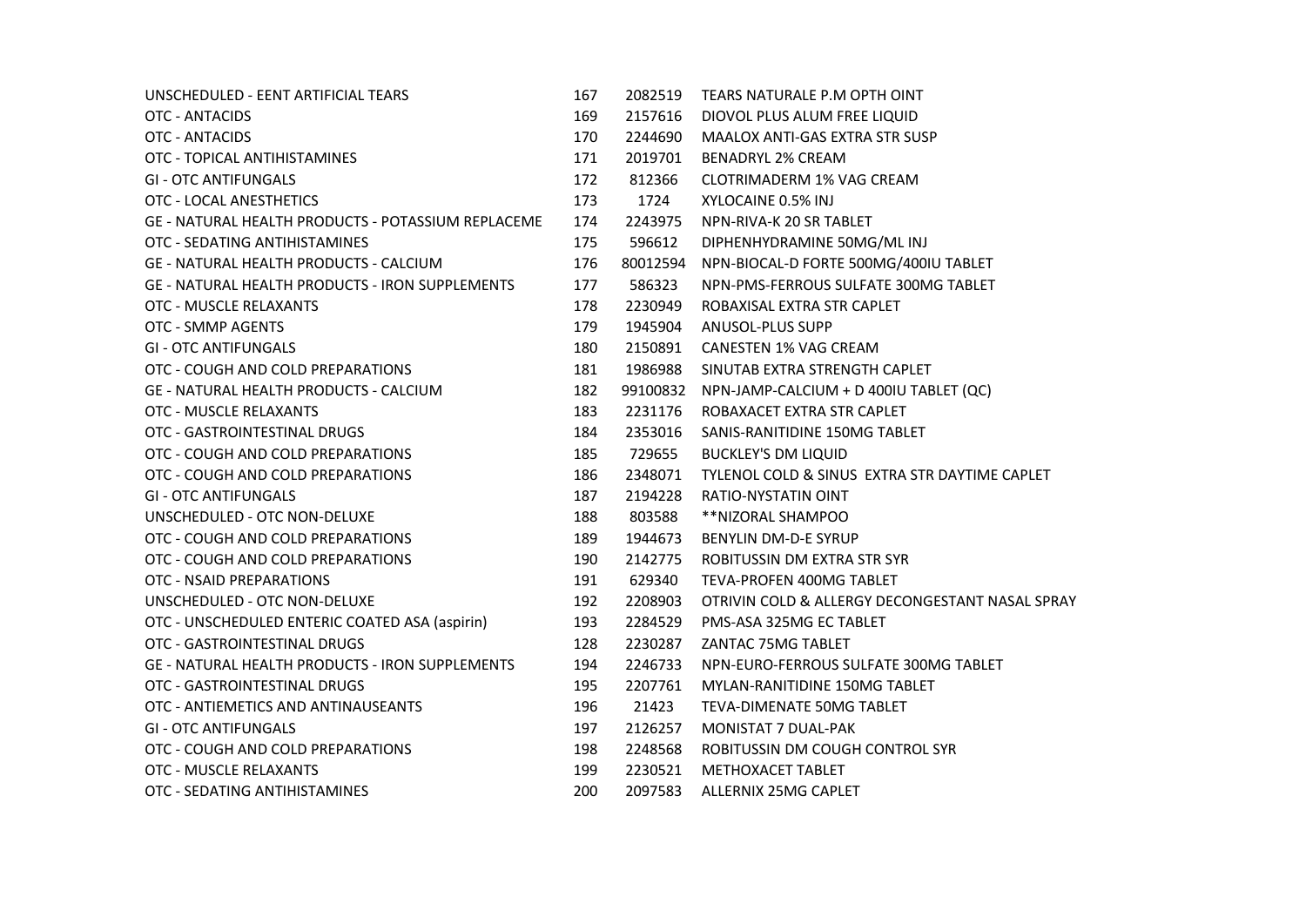| UNSCHEDULED - EENT ARTIFICIAL TEARS                    | 167 | 2082519  | TEARS NATURALE P.M OPTH OINT                    |
|--------------------------------------------------------|-----|----------|-------------------------------------------------|
| OTC - ANTACIDS                                         | 169 | 2157616  | DIOVOL PLUS ALUM FREE LIQUID                    |
| OTC - ANTACIDS                                         | 170 | 2244690  | <b>MAALOX ANTI-GAS EXTRA STR SUSP</b>           |
| OTC - TOPICAL ANTIHISTAMINES                           | 171 | 2019701  | <b>BENADRYL 2% CREAM</b>                        |
| <b>GI - OTC ANTIFUNGALS</b>                            | 172 | 812366   | CLOTRIMADERM 1% VAG CREAM                       |
| OTC - LOCAL ANESTHETICS                                | 173 | 1724     | XYLOCAINE 0.5% INJ                              |
| GE - NATURAL HEALTH PRODUCTS - POTASSIUM REPLACEME     | 174 | 2243975  | NPN-RIVA-K 20 SR TABLET                         |
| OTC - SEDATING ANTIHISTAMINES                          | 175 | 596612   | DIPHENHYDRAMINE 50MG/ML INJ                     |
| GE - NATURAL HEALTH PRODUCTS - CALCIUM                 | 176 | 80012594 | NPN-BIOCAL-D FORTE 500MG/400IU TABLET           |
| <b>GE - NATURAL HEALTH PRODUCTS - IRON SUPPLEMENTS</b> | 177 | 586323   | NPN-PMS-FERROUS SULFATE 300MG TABLET            |
| OTC - MUSCLE RELAXANTS                                 | 178 | 2230949  | ROBAXISAL EXTRA STR CAPLET                      |
| OTC - SMMP AGENTS                                      | 179 | 1945904  | ANUSOL-PLUS SUPP                                |
| <b>GI - OTC ANTIFUNGALS</b>                            | 180 | 2150891  | <b>CANESTEN 1% VAG CREAM</b>                    |
| OTC - COUGH AND COLD PREPARATIONS                      | 181 | 1986988  | SINUTAB EXTRA STRENGTH CAPLET                   |
| <b>GE - NATURAL HEALTH PRODUCTS - CALCIUM</b>          | 182 | 99100832 | NPN-JAMP-CALCIUM + D 400IU TABLET (QC)          |
| OTC - MUSCLE RELAXANTS                                 | 183 | 2231176  | ROBAXACET EXTRA STR CAPLET                      |
| OTC - GASTROINTESTINAL DRUGS                           | 184 | 2353016  | SANIS-RANITIDINE 150MG TABLET                   |
| OTC - COUGH AND COLD PREPARATIONS                      | 185 | 729655   | <b>BUCKLEY'S DM LIQUID</b>                      |
| OTC - COUGH AND COLD PREPARATIONS                      | 186 | 2348071  | TYLENOL COLD & SINUS EXTRA STR DAYTIME CAPLET   |
| <b>GI - OTC ANTIFUNGALS</b>                            | 187 | 2194228  | <b>RATIO-NYSTATIN OINT</b>                      |
| UNSCHEDULED - OTC NON-DELUXE                           | 188 | 803588   | **NIZORAL SHAMPOO                               |
| OTC - COUGH AND COLD PREPARATIONS                      | 189 | 1944673  | BENYLIN DM-D-E SYRUP                            |
| OTC - COUGH AND COLD PREPARATIONS                      | 190 | 2142775  | ROBITUSSIN DM EXTRA STR SYR                     |
| OTC - NSAID PREPARATIONS                               | 191 | 629340   | TEVA-PROFEN 400MG TABLET                        |
| UNSCHEDULED - OTC NON-DELUXE                           | 192 | 2208903  | OTRIVIN COLD & ALLERGY DECONGESTANT NASAL SPRAY |
| OTC - UNSCHEDULED ENTERIC COATED ASA (aspirin)         | 193 | 2284529  | PMS-ASA 325MG EC TABLET                         |
| OTC - GASTROINTESTINAL DRUGS                           | 128 | 2230287  | ZANTAC 75MG TABLET                              |
| GE - NATURAL HEALTH PRODUCTS - IRON SUPPLEMENTS        | 194 | 2246733  | NPN-EURO-FERROUS SULFATE 300MG TABLET           |
| OTC - GASTROINTESTINAL DRUGS                           | 195 | 2207761  | MYLAN-RANITIDINE 150MG TABLET                   |
| OTC - ANTIEMETICS AND ANTINAUSEANTS                    | 196 | 21423    | TEVA-DIMENATE 50MG TABLET                       |
| <b>GI - OTC ANTIFUNGALS</b>                            | 197 | 2126257  | <b>MONISTAT 7 DUAL-PAK</b>                      |
| OTC - COUGH AND COLD PREPARATIONS                      | 198 | 2248568  | ROBITUSSIN DM COUGH CONTROL SYR                 |
| OTC - MUSCLE RELAXANTS                                 | 199 | 2230521  | METHOXACET TABLET                               |
| OTC - SEDATING ANTIHISTAMINES                          | 200 | 2097583  | ALLERNIX 25MG CAPLET                            |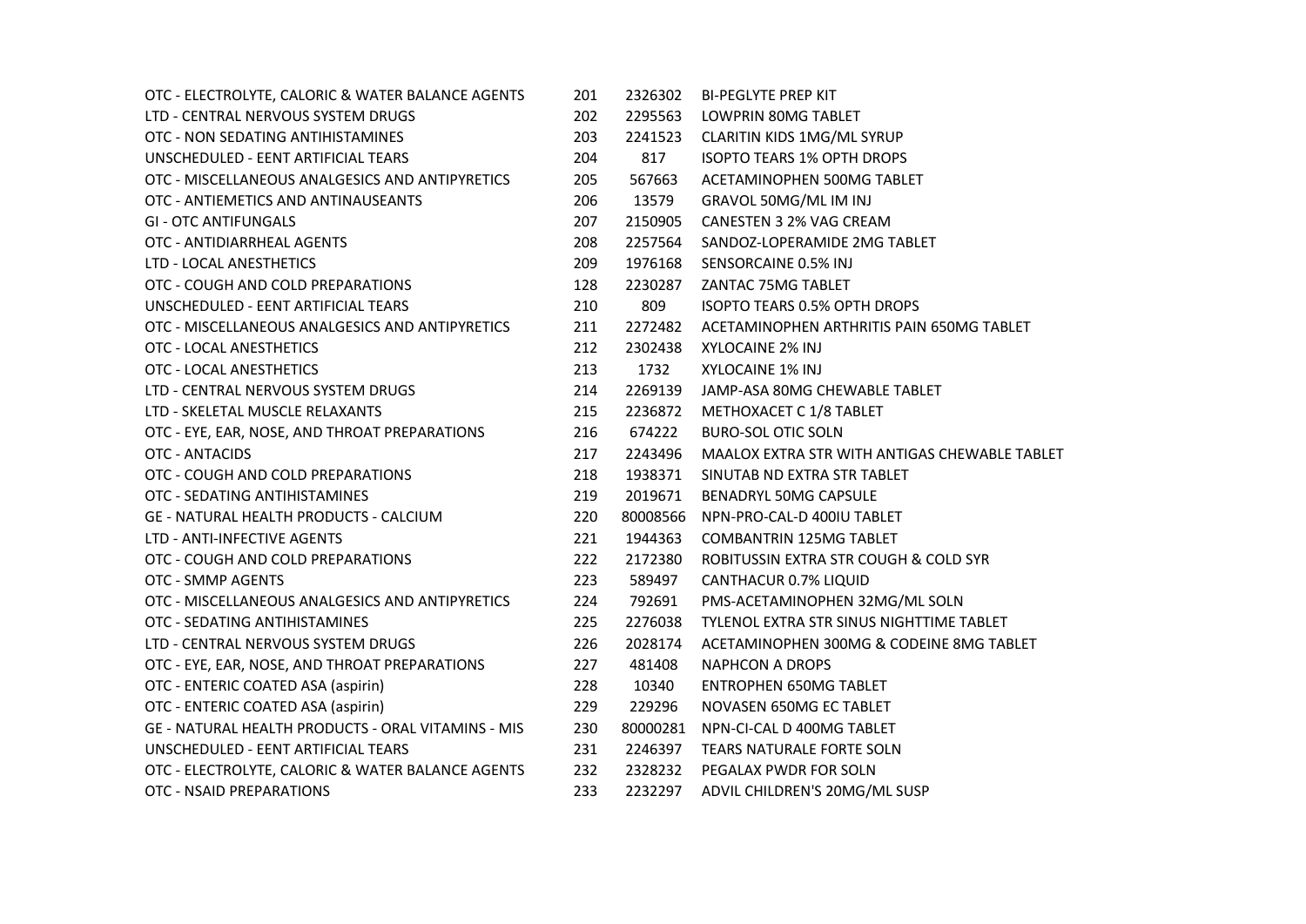| OTC - ELECTROLYTE, CALORIC & WATER BALANCE AGENTS         | 201 | 2326302  | <b>BI-PEGLYTE PREP KIT</b>                    |
|-----------------------------------------------------------|-----|----------|-----------------------------------------------|
| LTD - CENTRAL NERVOUS SYSTEM DRUGS                        | 202 | 2295563  | LOWPRIN 80MG TABLET                           |
| OTC - NON SEDATING ANTIHISTAMINES                         | 203 | 2241523  | <b>CLARITIN KIDS 1MG/ML SYRUP</b>             |
| UNSCHEDULED - EENT ARTIFICIAL TEARS                       | 204 | 817      | <b>ISOPTO TEARS 1% OPTH DROPS</b>             |
| OTC - MISCELLANEOUS ANALGESICS AND ANTIPYRETICS           | 205 | 567663   | ACETAMINOPHEN 500MG TABLET                    |
| OTC - ANTIEMETICS AND ANTINAUSEANTS                       | 206 | 13579    | GRAVOL 50MG/ML IM INJ                         |
| <b>GI - OTC ANTIFUNGALS</b>                               | 207 | 2150905  | CANESTEN 3 2% VAG CREAM                       |
| OTC - ANTIDIARRHEAL AGENTS                                | 208 | 2257564  | SANDOZ-LOPERAMIDE 2MG TABLET                  |
| LTD - LOCAL ANESTHETICS                                   | 209 | 1976168  | SENSORCAINE 0.5% INJ                          |
| OTC - COUGH AND COLD PREPARATIONS                         | 128 | 2230287  | ZANTAC 75MG TABLET                            |
| UNSCHEDULED - EENT ARTIFICIAL TEARS                       | 210 | 809      | ISOPTO TEARS 0.5% OPTH DROPS                  |
| OTC - MISCELLANEOUS ANALGESICS AND ANTIPYRETICS           | 211 | 2272482  | ACETAMINOPHEN ARTHRITIS PAIN 650MG TABLET     |
| OTC - LOCAL ANESTHETICS                                   | 212 | 2302438  | XYLOCAINE 2% INJ                              |
| OTC - LOCAL ANESTHETICS                                   | 213 | 1732     | XYLOCAINE 1% INJ                              |
| LTD - CENTRAL NERVOUS SYSTEM DRUGS                        | 214 | 2269139  | JAMP-ASA 80MG CHEWABLE TABLET                 |
| LTD - SKELETAL MUSCLE RELAXANTS                           | 215 | 2236872  | METHOXACET C 1/8 TABLET                       |
| OTC - EYE, EAR, NOSE, AND THROAT PREPARATIONS             | 216 | 674222   | <b>BURO-SOL OTIC SOLN</b>                     |
| <b>OTC - ANTACIDS</b>                                     | 217 | 2243496  | MAALOX EXTRA STR WITH ANTIGAS CHEWABLE TABLET |
| OTC - COUGH AND COLD PREPARATIONS                         | 218 | 1938371  | SINUTAB ND EXTRA STR TABLET                   |
| OTC - SEDATING ANTIHISTAMINES                             | 219 | 2019671  | BENADRYL 50MG CAPSULE                         |
| <b>GE - NATURAL HEALTH PRODUCTS - CALCIUM</b>             | 220 | 80008566 | NPN-PRO-CAL-D 400IU TABLET                    |
| LTD - ANTI-INFECTIVE AGENTS                               | 221 | 1944363  | <b>COMBANTRIN 125MG TABLET</b>                |
| OTC - COUGH AND COLD PREPARATIONS                         | 222 | 2172380  | ROBITUSSIN EXTRA STR COUGH & COLD SYR         |
| OTC - SMMP AGENTS                                         | 223 | 589497   | <b>CANTHACUR 0.7% LIQUID</b>                  |
| OTC - MISCELLANEOUS ANALGESICS AND ANTIPYRETICS           | 224 | 792691   | PMS-ACETAMINOPHEN 32MG/ML SOLN                |
| OTC - SEDATING ANTIHISTAMINES                             | 225 | 2276038  | TYLENOL EXTRA STR SINUS NIGHTTIME TABLET      |
| LTD - CENTRAL NERVOUS SYSTEM DRUGS                        | 226 | 2028174  | ACETAMINOPHEN 300MG & CODEINE 8MG TABLET      |
| OTC - EYE, EAR, NOSE, AND THROAT PREPARATIONS             | 227 | 481408   | <b>NAPHCON A DROPS</b>                        |
| OTC - ENTERIC COATED ASA (aspirin)                        | 228 | 10340    | <b>ENTROPHEN 650MG TABLET</b>                 |
| OTC - ENTERIC COATED ASA (aspirin)                        | 229 | 229296   | NOVASEN 650MG EC TABLET                       |
| <b>GE - NATURAL HEALTH PRODUCTS - ORAL VITAMINS - MIS</b> | 230 | 80000281 | NPN-CI-CAL D 400MG TABLET                     |
| UNSCHEDULED - EENT ARTIFICIAL TEARS                       | 231 | 2246397  | <b>TEARS NATURALE FORTE SOLN</b>              |
| OTC - ELECTROLYTE, CALORIC & WATER BALANCE AGENTS         | 232 | 2328232  | PEGALAX PWDR FOR SOLN                         |
| OTC - NSAID PREPARATIONS                                  | 233 | 2232297  | ADVIL CHILDREN'S 20MG/ML SUSP                 |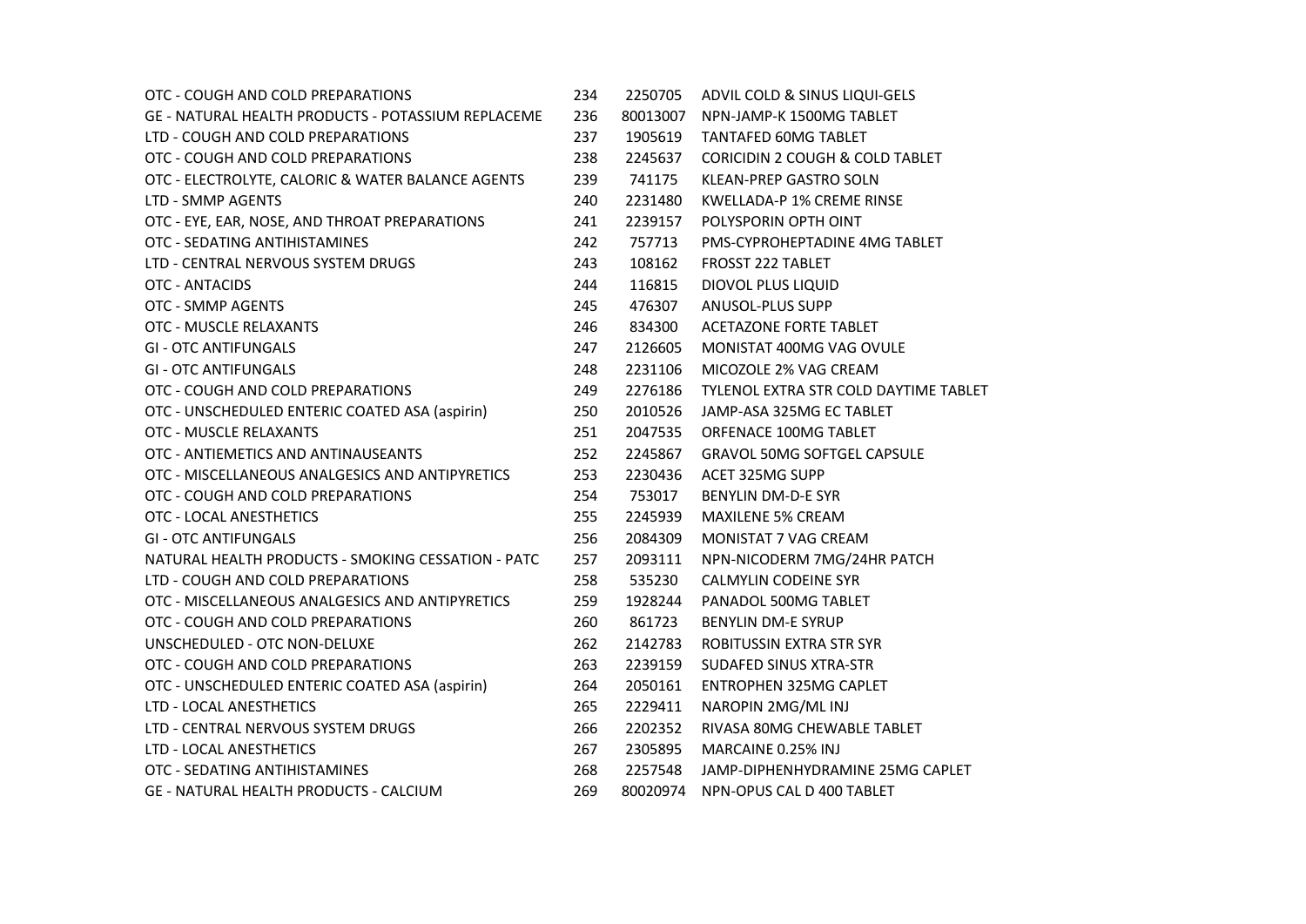| OTC - COUGH AND COLD PREPARATIONS                         | 234 | 2250705  | ADVIL COLD & SINUS LIQUI-GELS              |
|-----------------------------------------------------------|-----|----------|--------------------------------------------|
| <b>GE - NATURAL HEALTH PRODUCTS - POTASSIUM REPLACEME</b> | 236 | 80013007 | NPN-JAMP-K 1500MG TABLET                   |
| LTD - COUGH AND COLD PREPARATIONS                         | 237 | 1905619  | <b>TANTAFED 60MG TABLET</b>                |
| OTC - COUGH AND COLD PREPARATIONS                         | 238 | 2245637  | <b>CORICIDIN 2 COUGH &amp; COLD TABLET</b> |
| OTC - ELECTROLYTE, CALORIC & WATER BALANCE AGENTS         | 239 | 741175   | <b>KLEAN-PREP GASTRO SOLN</b>              |
| LTD - SMMP AGENTS                                         | 240 | 2231480  | KWELLADA-P 1% CREME RINSE                  |
| OTC - EYE, EAR, NOSE, AND THROAT PREPARATIONS             | 241 | 2239157  | POLYSPORIN OPTH OINT                       |
| OTC - SEDATING ANTIHISTAMINES                             | 242 | 757713   | PMS-CYPROHEPTADINE 4MG TABLET              |
| LTD - CENTRAL NERVOUS SYSTEM DRUGS                        | 243 | 108162   | <b>FROSST 222 TABLET</b>                   |
| OTC - ANTACIDS                                            | 244 | 116815   | DIOVOL PLUS LIQUID                         |
| <b>OTC - SMMP AGENTS</b>                                  | 245 | 476307   | ANUSOL-PLUS SUPP                           |
| OTC - MUSCLE RELAXANTS                                    | 246 | 834300   | ACETAZONE FORTE TABLET                     |
| <b>GI - OTC ANTIFUNGALS</b>                               | 247 | 2126605  | MONISTAT 400MG VAG OVULE                   |
| <b>GI - OTC ANTIFUNGALS</b>                               | 248 | 2231106  | MICOZOLE 2% VAG CREAM                      |
| OTC - COUGH AND COLD PREPARATIONS                         | 249 | 2276186  | TYLENOL EXTRA STR COLD DAYTIME TABLET      |
| OTC - UNSCHEDULED ENTERIC COATED ASA (aspirin)            | 250 | 2010526  | JAMP-ASA 325MG EC TABLET                   |
| OTC - MUSCLE RELAXANTS                                    | 251 | 2047535  | ORFENACE 100MG TABLET                      |
| OTC - ANTIEMETICS AND ANTINAUSEANTS                       | 252 | 2245867  | <b>GRAVOL 50MG SOFTGEL CAPSULE</b>         |
| OTC - MISCELLANEOUS ANALGESICS AND ANTIPYRETICS           | 253 | 2230436  | ACET 325MG SUPP                            |
| OTC - COUGH AND COLD PREPARATIONS                         | 254 | 753017   | BENYLIN DM-D-E SYR                         |
| OTC - LOCAL ANESTHETICS                                   | 255 | 2245939  | <b>MAXILENE 5% CREAM</b>                   |
| <b>GI - OTC ANTIFUNGALS</b>                               | 256 | 2084309  | MONISTAT 7 VAG CREAM                       |
| NATURAL HEALTH PRODUCTS - SMOKING CESSATION - PATC        | 257 | 2093111  | NPN-NICODERM 7MG/24HR PATCH                |
| LTD - COUGH AND COLD PREPARATIONS                         | 258 | 535230   | <b>CALMYLIN CODEINE SYR</b>                |
| OTC - MISCELLANEOUS ANALGESICS AND ANTIPYRETICS           | 259 | 1928244  | PANADOL 500MG TABLET                       |
| OTC - COUGH AND COLD PREPARATIONS                         | 260 | 861723   | <b>BENYLIN DM-E SYRUP</b>                  |
| UNSCHEDULED - OTC NON-DELUXE                              | 262 | 2142783  | ROBITUSSIN EXTRA STR SYR                   |
| OTC - COUGH AND COLD PREPARATIONS                         | 263 | 2239159  | <b>SUDAFED SINUS XTRA-STR</b>              |
| OTC - UNSCHEDULED ENTERIC COATED ASA (aspirin)            | 264 | 2050161  | <b>ENTROPHEN 325MG CAPLET</b>              |
| LTD - LOCAL ANESTHETICS                                   | 265 | 2229411  | NAROPIN 2MG/ML INJ                         |
| LTD - CENTRAL NERVOUS SYSTEM DRUGS                        | 266 | 2202352  | RIVASA 80MG CHEWABLE TABLET                |
| LTD - LOCAL ANESTHETICS                                   | 267 | 2305895  | MARCAINE 0.25% INJ                         |
| OTC - SEDATING ANTIHISTAMINES                             | 268 | 2257548  | JAMP-DIPHENHYDRAMINE 25MG CAPLET           |
| <b>GE - NATURAL HEALTH PRODUCTS - CALCIUM</b>             | 269 |          | 80020974 NPN-OPUS CAL D 400 TABLET         |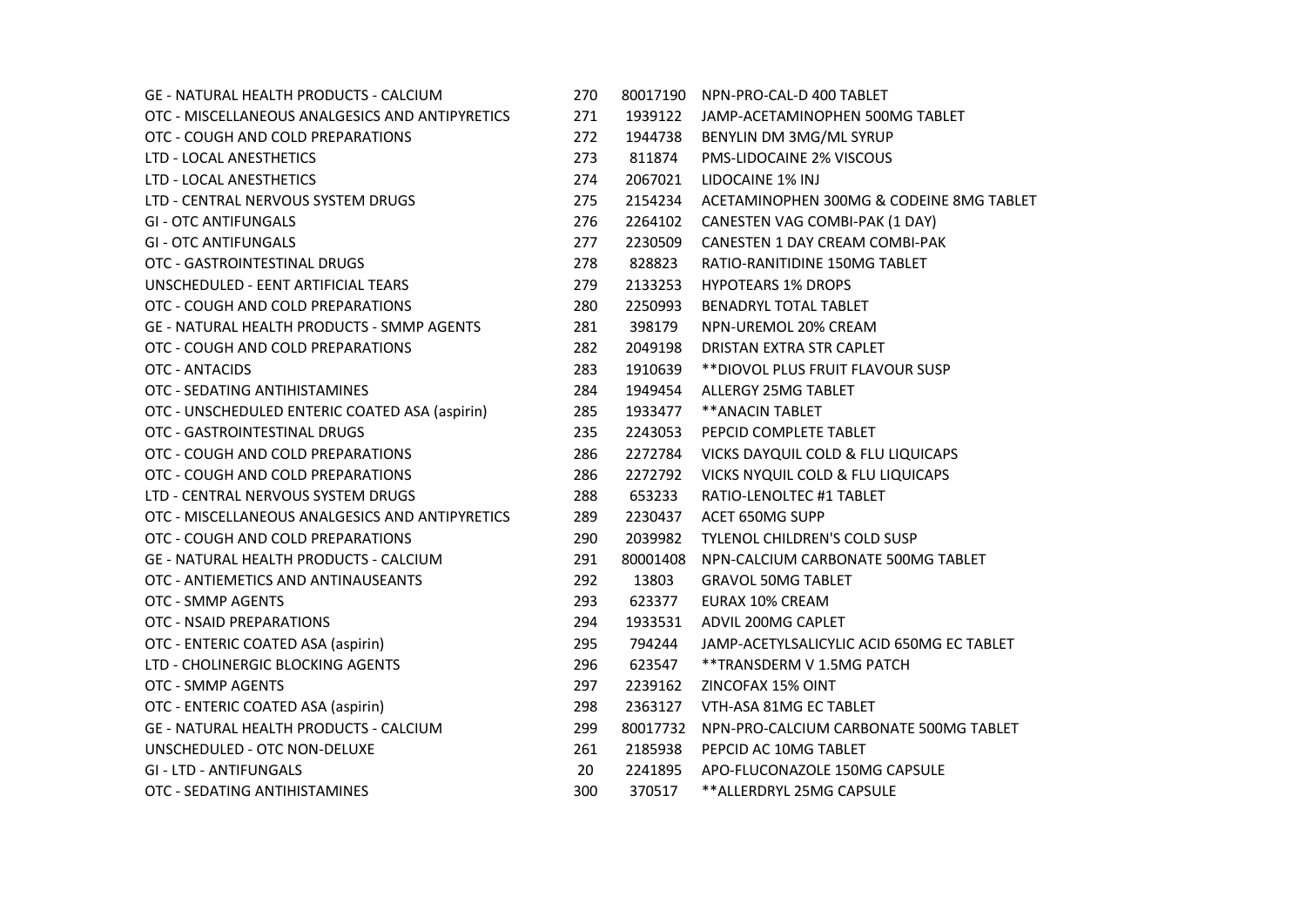| <b>GE - NATURAL HEALTH PRODUCTS - CALCIUM</b>     | 270 | 80017190 | NPN-PRO-CAL-D 400 TABLET                  |
|---------------------------------------------------|-----|----------|-------------------------------------------|
| OTC - MISCELLANEOUS ANALGESICS AND ANTIPYRETICS   | 271 | 1939122  | JAMP-ACETAMINOPHEN 500MG TABLET           |
| OTC - COUGH AND COLD PREPARATIONS                 | 272 | 1944738  | BENYLIN DM 3MG/ML SYRUP                   |
| LTD - LOCAL ANESTHETICS                           | 273 | 811874   | PMS-LIDOCAINE 2% VISCOUS                  |
| LTD - LOCAL ANESTHETICS                           | 274 | 2067021  | LIDOCAINE 1% INJ                          |
| LTD - CENTRAL NERVOUS SYSTEM DRUGS                | 275 | 2154234  | ACETAMINOPHEN 300MG & CODEINE 8MG TABLET  |
| <b>GI - OTC ANTIFUNGALS</b>                       | 276 | 2264102  | CANESTEN VAG COMBI-PAK (1 DAY)            |
| <b>GI - OTC ANTIFUNGALS</b>                       | 277 | 2230509  | CANESTEN 1 DAY CREAM COMBI-PAK            |
| OTC - GASTROINTESTINAL DRUGS                      | 278 | 828823   | RATIO-RANITIDINE 150MG TABLET             |
| UNSCHEDULED - EENT ARTIFICIAL TEARS               | 279 | 2133253  | <b>HYPOTEARS 1% DROPS</b>                 |
| OTC - COUGH AND COLD PREPARATIONS                 | 280 | 2250993  | BENADRYL TOTAL TABLET                     |
| <b>GE - NATURAL HEALTH PRODUCTS - SMMP AGENTS</b> | 281 | 398179   | NPN-UREMOL 20% CREAM                      |
| OTC - COUGH AND COLD PREPARATIONS                 | 282 | 2049198  | DRISTAN EXTRA STR CAPLET                  |
| OTC - ANTACIDS                                    | 283 | 1910639  | **DIOVOL PLUS FRUIT FLAVOUR SUSP          |
| OTC - SEDATING ANTIHISTAMINES                     | 284 | 1949454  | ALLERGY 25MG TABLET                       |
| OTC - UNSCHEDULED ENTERIC COATED ASA (aspirin)    | 285 | 1933477  | ** ANACIN TABLET                          |
| OTC - GASTROINTESTINAL DRUGS                      | 235 | 2243053  | PEPCID COMPLETE TABLET                    |
| OTC - COUGH AND COLD PREPARATIONS                 | 286 | 2272784  | VICKS DAYQUIL COLD & FLU LIQUICAPS        |
| OTC - COUGH AND COLD PREPARATIONS                 | 286 | 2272792  | VICKS NYQUIL COLD & FLU LIQUICAPS         |
| LTD - CENTRAL NERVOUS SYSTEM DRUGS                | 288 | 653233   | RATIO-LENOLTEC #1 TABLET                  |
| OTC - MISCELLANEOUS ANALGESICS AND ANTIPYRETICS   | 289 | 2230437  | ACET 650MG SUPP                           |
| OTC - COUGH AND COLD PREPARATIONS                 | 290 | 2039982  | TYLENOL CHILDREN'S COLD SUSP              |
| <b>GE - NATURAL HEALTH PRODUCTS - CALCIUM</b>     | 291 | 80001408 | NPN-CALCIUM CARBONATE 500MG TABLET        |
| OTC - ANTIEMETICS AND ANTINAUSEANTS               | 292 | 13803    | <b>GRAVOL 50MG TABLET</b>                 |
| OTC - SMMP AGENTS                                 | 293 | 623377   | <b>EURAX 10% CREAM</b>                    |
| OTC - NSAID PREPARATIONS                          | 294 | 1933531  | ADVIL 200MG CAPLET                        |
| OTC - ENTERIC COATED ASA (aspirin)                | 295 | 794244   | JAMP-ACETYLSALICYLIC ACID 650MG EC TABLET |
| LTD - CHOLINERGIC BLOCKING AGENTS                 | 296 | 623547   | ** TRANSDERM V 1.5MG PATCH                |
| OTC - SMMP AGENTS                                 | 297 | 2239162  | ZINCOFAX 15% OINT                         |
| OTC - ENTERIC COATED ASA (aspirin)                | 298 | 2363127  | VTH-ASA 81MG EC TABLET                    |
| <b>GE - NATURAL HEALTH PRODUCTS - CALCIUM</b>     | 299 | 80017732 | NPN-PRO-CALCIUM CARBONATE 500MG TABLET    |
| UNSCHEDULED - OTC NON-DELUXE                      | 261 | 2185938  | PEPCID AC 10MG TABLET                     |
| <b>GI - LTD - ANTIFUNGALS</b>                     | 20  | 2241895  | APO-FLUCONAZOLE 150MG CAPSULE             |
| OTC - SEDATING ANTIHISTAMINES                     | 300 | 370517   | **ALLERDRYL 25MG CAPSULE                  |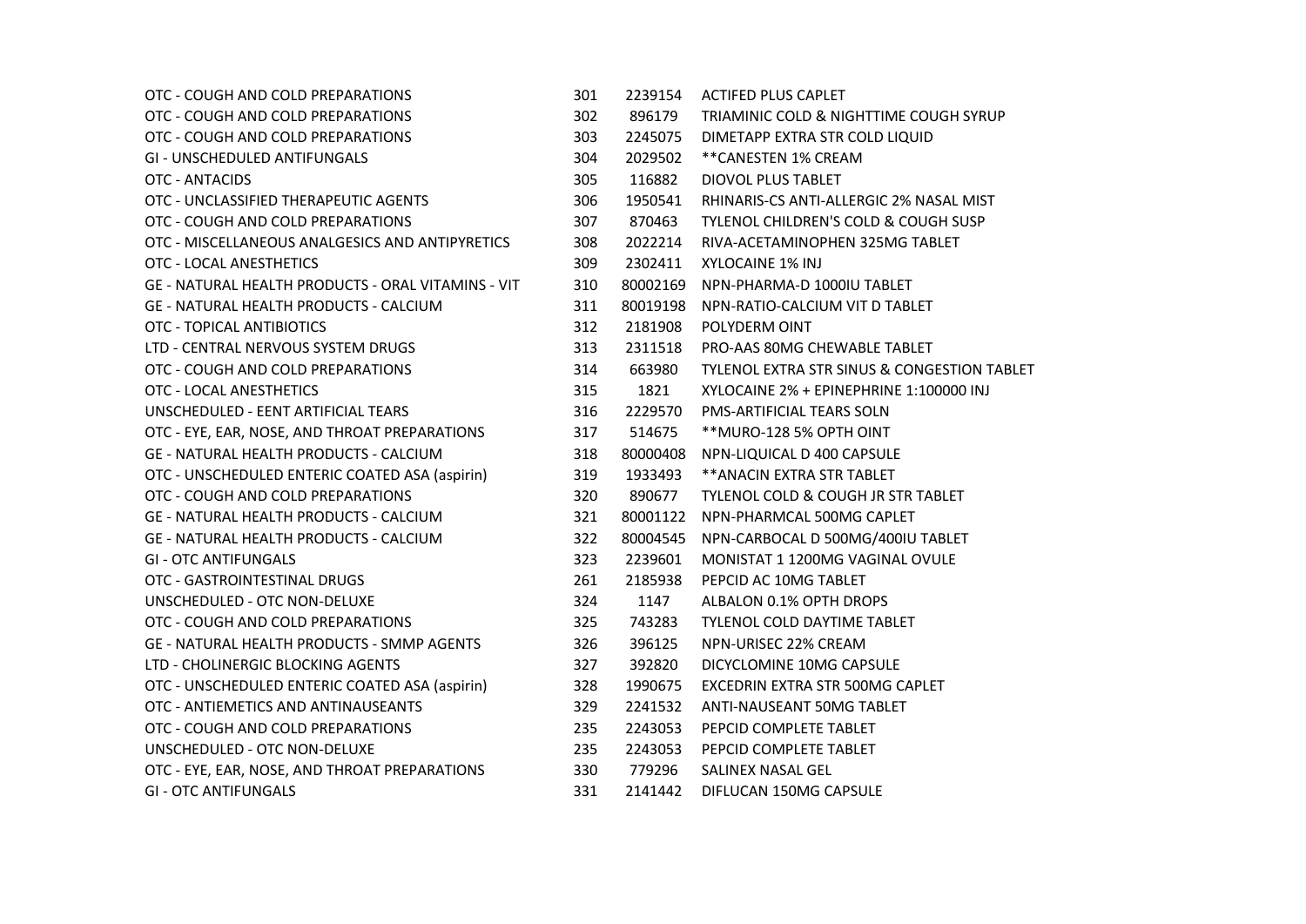| OTC - COUGH AND COLD PREPARATIONS                  | 301 | 2239154  | <b>ACTIFED PLUS CAPLET</b>                      |
|----------------------------------------------------|-----|----------|-------------------------------------------------|
| OTC - COUGH AND COLD PREPARATIONS                  | 302 | 896179   | TRIAMINIC COLD & NIGHTTIME COUGH SYRUP          |
| OTC - COUGH AND COLD PREPARATIONS                  | 303 | 2245075  | DIMETAPP EXTRA STR COLD LIQUID                  |
| <b>GI - UNSCHEDULED ANTIFUNGALS</b>                | 304 | 2029502  | **CANESTEN 1% CREAM                             |
| OTC - ANTACIDS                                     | 305 | 116882   | DIOVOL PLUS TABLET                              |
| OTC - UNCLASSIFIED THERAPEUTIC AGENTS              | 306 | 1950541  | RHINARIS-CS ANTI-ALLERGIC 2% NASAL MIST         |
| OTC - COUGH AND COLD PREPARATIONS                  | 307 | 870463   | <b>TYLENOL CHILDREN'S COLD &amp; COUGH SUSP</b> |
| OTC - MISCELLANEOUS ANALGESICS AND ANTIPYRETICS    | 308 | 2022214  | RIVA-ACETAMINOPHEN 325MG TABLET                 |
| OTC - LOCAL ANESTHETICS                            | 309 | 2302411  | XYLOCAINE 1% INJ                                |
| GE - NATURAL HEALTH PRODUCTS - ORAL VITAMINS - VIT | 310 | 80002169 | NPN-PHARMA-D 1000IU TABLET                      |
| GE - NATURAL HEALTH PRODUCTS - CALCIUM             | 311 | 80019198 | NPN-RATIO-CALCIUM VIT D TABLET                  |
| OTC - TOPICAL ANTIBIOTICS                          | 312 | 2181908  | POLYDERM OINT                                   |
| LTD - CENTRAL NERVOUS SYSTEM DRUGS                 | 313 | 2311518  | PRO-AAS 80MG CHEWABLE TABLET                    |
| OTC - COUGH AND COLD PREPARATIONS                  | 314 | 663980   | TYLENOL EXTRA STR SINUS & CONGESTION TABLET     |
| OTC - LOCAL ANESTHETICS                            | 315 | 1821     | XYLOCAINE 2% + EPINEPHRINE 1:100000 INJ         |
| UNSCHEDULED - EENT ARTIFICIAL TEARS                | 316 | 2229570  | <b>PMS-ARTIFICIAL TEARS SOLN</b>                |
| OTC - EYE, EAR, NOSE, AND THROAT PREPARATIONS      | 317 | 514675   | ** MURO-128 5% OPTH OINT                        |
| <b>GE - NATURAL HEALTH PRODUCTS - CALCIUM</b>      | 318 | 80000408 | NPN-LIQUICAL D 400 CAPSULE                      |
| OTC - UNSCHEDULED ENTERIC COATED ASA (aspirin)     | 319 | 1933493  | ** ANACIN EXTRA STR TABLET                      |
| OTC - COUGH AND COLD PREPARATIONS                  | 320 | 890677   | TYLENOL COLD & COUGH JR STR TABLET              |
| <b>GE - NATURAL HEALTH PRODUCTS - CALCIUM</b>      | 321 | 80001122 | NPN-PHARMCAL 500MG CAPLET                       |
| <b>GE - NATURAL HEALTH PRODUCTS - CALCIUM</b>      | 322 | 80004545 | NPN-CARBOCAL D 500MG/400IU TABLET               |
| <b>GI - OTC ANTIFUNGALS</b>                        | 323 | 2239601  | MONISTAT 1 1200MG VAGINAL OVULE                 |
| OTC - GASTROINTESTINAL DRUGS                       | 261 | 2185938  | PEPCID AC 10MG TABLET                           |
| UNSCHEDULED - OTC NON-DELUXE                       | 324 | 1147     | ALBALON 0.1% OPTH DROPS                         |
| OTC - COUGH AND COLD PREPARATIONS                  | 325 | 743283   | TYLENOL COLD DAYTIME TABLET                     |
| <b>GE - NATURAL HEALTH PRODUCTS - SMMP AGENTS</b>  | 326 | 396125   | NPN-URISEC 22% CREAM                            |
| LTD - CHOLINERGIC BLOCKING AGENTS                  | 327 | 392820   | DICYCLOMINE 10MG CAPSULE                        |
| OTC - UNSCHEDULED ENTERIC COATED ASA (aspirin)     | 328 | 1990675  | EXCEDRIN EXTRA STR 500MG CAPLET                 |
| OTC - ANTIEMETICS AND ANTINAUSEANTS                | 329 | 2241532  | ANTI-NAUSEANT 50MG TABLET                       |
| OTC - COUGH AND COLD PREPARATIONS                  | 235 | 2243053  | PEPCID COMPLETE TABLET                          |
| UNSCHEDULED - OTC NON-DELUXE                       | 235 | 2243053  | PEPCID COMPLETE TABLET                          |
| OTC - EYE, EAR, NOSE, AND THROAT PREPARATIONS      | 330 | 779296   | SALINEX NASAL GEL                               |
| <b>GI - OTC ANTIFUNGALS</b>                        | 331 | 2141442  | DIFLUCAN 150MG CAPSULE                          |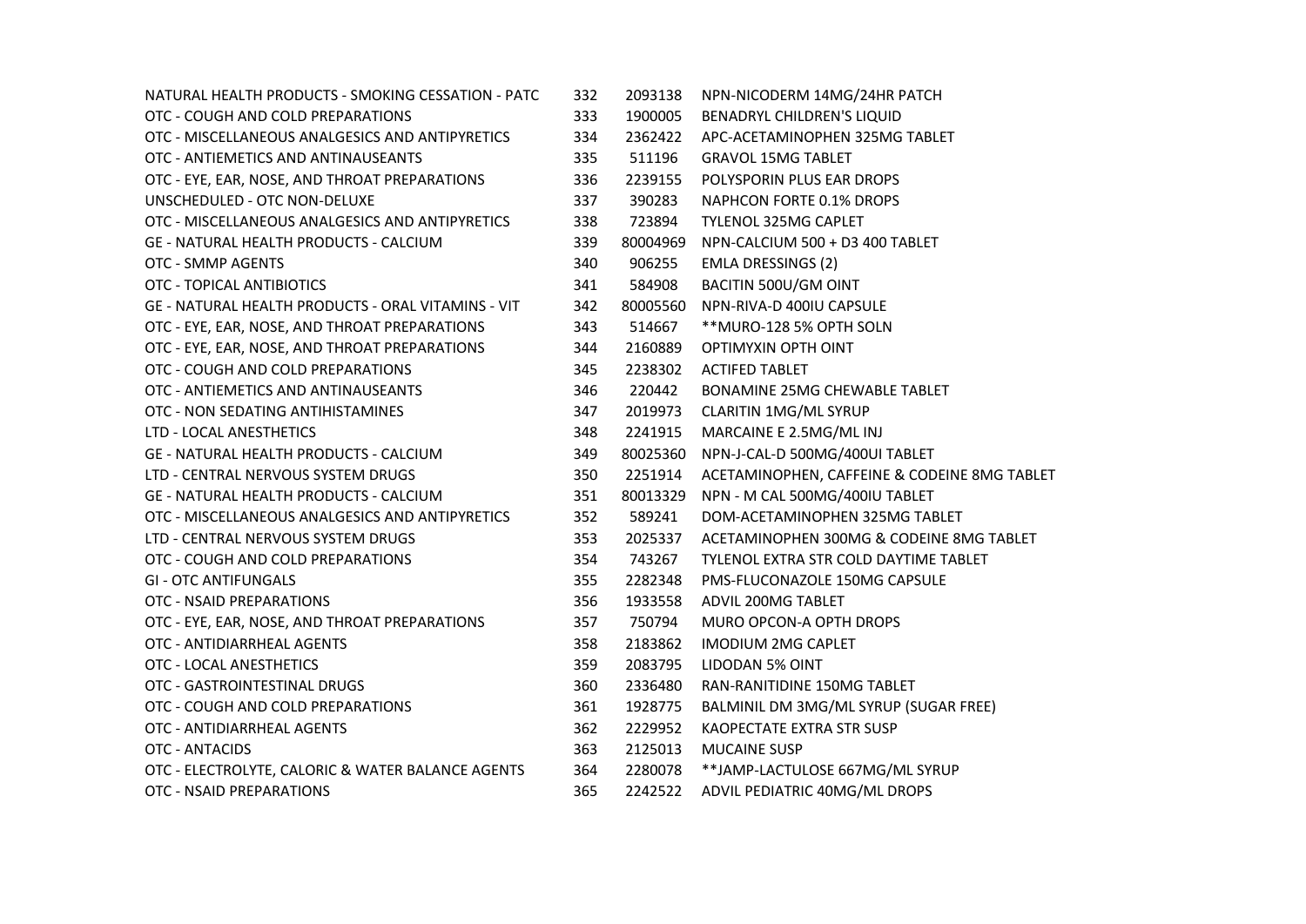| NATURAL HEALTH PRODUCTS - SMOKING CESSATION - PATC | 332 | 2093138  | NPN-NICODERM 14MG/24HR PATCH                 |
|----------------------------------------------------|-----|----------|----------------------------------------------|
| OTC - COUGH AND COLD PREPARATIONS                  | 333 | 1900005  | BENADRYL CHILDREN'S LIQUID                   |
| OTC - MISCELLANEOUS ANALGESICS AND ANTIPYRETICS    | 334 | 2362422  | APC-ACETAMINOPHEN 325MG TABLET               |
| OTC - ANTIEMETICS AND ANTINAUSEANTS                | 335 | 511196   | <b>GRAVOL 15MG TABLET</b>                    |
| OTC - EYE, EAR, NOSE, AND THROAT PREPARATIONS      | 336 | 2239155  | POLYSPORIN PLUS EAR DROPS                    |
| UNSCHEDULED - OTC NON-DELUXE                       | 337 | 390283   | NAPHCON FORTE 0.1% DROPS                     |
| OTC - MISCELLANEOUS ANALGESICS AND ANTIPYRETICS    | 338 | 723894   | TYLENOL 325MG CAPLET                         |
| <b>GE - NATURAL HEALTH PRODUCTS - CALCIUM</b>      | 339 | 80004969 | NPN-CALCIUM 500 + D3 400 TABLET              |
| OTC - SMMP AGENTS                                  | 340 | 906255   | <b>EMLA DRESSINGS (2)</b>                    |
| OTC - TOPICAL ANTIBIOTICS                          | 341 | 584908   | BACITIN 500U/GM OINT                         |
| GE - NATURAL HEALTH PRODUCTS - ORAL VITAMINS - VIT | 342 | 80005560 | NPN-RIVA-D 400IU CAPSULE                     |
| OTC - EYE, EAR, NOSE, AND THROAT PREPARATIONS      | 343 | 514667   | **MURO-128 5% OPTH SOLN                      |
| OTC - EYE, EAR, NOSE, AND THROAT PREPARATIONS      | 344 | 2160889  | OPTIMYXIN OPTH OINT                          |
| OTC - COUGH AND COLD PREPARATIONS                  | 345 | 2238302  | <b>ACTIFED TABLET</b>                        |
| OTC - ANTIEMETICS AND ANTINAUSEANTS                | 346 | 220442   | BONAMINE 25MG CHEWABLE TABLET                |
| OTC - NON SEDATING ANTIHISTAMINES                  | 347 | 2019973  | CLARITIN 1MG/ML SYRUP                        |
| LTD - LOCAL ANESTHETICS                            | 348 | 2241915  | MARCAINE E 2.5MG/ML INJ                      |
| <b>GE - NATURAL HEALTH PRODUCTS - CALCIUM</b>      | 349 | 80025360 | NPN-J-CAL-D 500MG/400UI TABLET               |
| LTD - CENTRAL NERVOUS SYSTEM DRUGS                 | 350 | 2251914  | ACETAMINOPHEN, CAFFEINE & CODEINE 8MG TABLET |
| <b>GE - NATURAL HEALTH PRODUCTS - CALCIUM</b>      | 351 | 80013329 | NPN - M CAL 500MG/400IU TABLET               |
| OTC - MISCELLANEOUS ANALGESICS AND ANTIPYRETICS    | 352 | 589241   | DOM-ACETAMINOPHEN 325MG TABLET               |
| LTD - CENTRAL NERVOUS SYSTEM DRUGS                 | 353 | 2025337  | ACETAMINOPHEN 300MG & CODEINE 8MG TABLET     |
| OTC - COUGH AND COLD PREPARATIONS                  | 354 | 743267   | TYLENOL EXTRA STR COLD DAYTIME TABLET        |
| <b>GI - OTC ANTIFUNGALS</b>                        | 355 | 2282348  | <b>PMS-FLUCONAZOLE 150MG CAPSULE</b>         |
| OTC - NSAID PREPARATIONS                           | 356 | 1933558  | ADVIL 200MG TABLET                           |
| OTC - EYE, EAR, NOSE, AND THROAT PREPARATIONS      | 357 | 750794   | MURO OPCON-A OPTH DROPS                      |
| OTC - ANTIDIARRHEAL AGENTS                         | 358 | 2183862  | <b>IMODIUM 2MG CAPLET</b>                    |
| OTC - LOCAL ANESTHETICS                            | 359 | 2083795  | <b>LIDODAN 5% OINT</b>                       |
| OTC - GASTROINTESTINAL DRUGS                       | 360 | 2336480  | RAN-RANITIDINE 150MG TABLET                  |
| OTC - COUGH AND COLD PREPARATIONS                  | 361 | 1928775  | BALMINIL DM 3MG/ML SYRUP (SUGAR FREE)        |
| OTC - ANTIDIARRHEAL AGENTS                         | 362 | 2229952  | KAOPECTATE EXTRA STR SUSP                    |
| OTC - ANTACIDS                                     | 363 | 2125013  | <b>MUCAINE SUSP</b>                          |
| OTC - ELECTROLYTE, CALORIC & WATER BALANCE AGENTS  | 364 | 2280078  | **JAMP-LACTULOSE 667MG/ML SYRUP              |
| OTC - NSAID PREPARATIONS                           | 365 | 2242522  | ADVIL PEDIATRIC 40MG/ML DROPS                |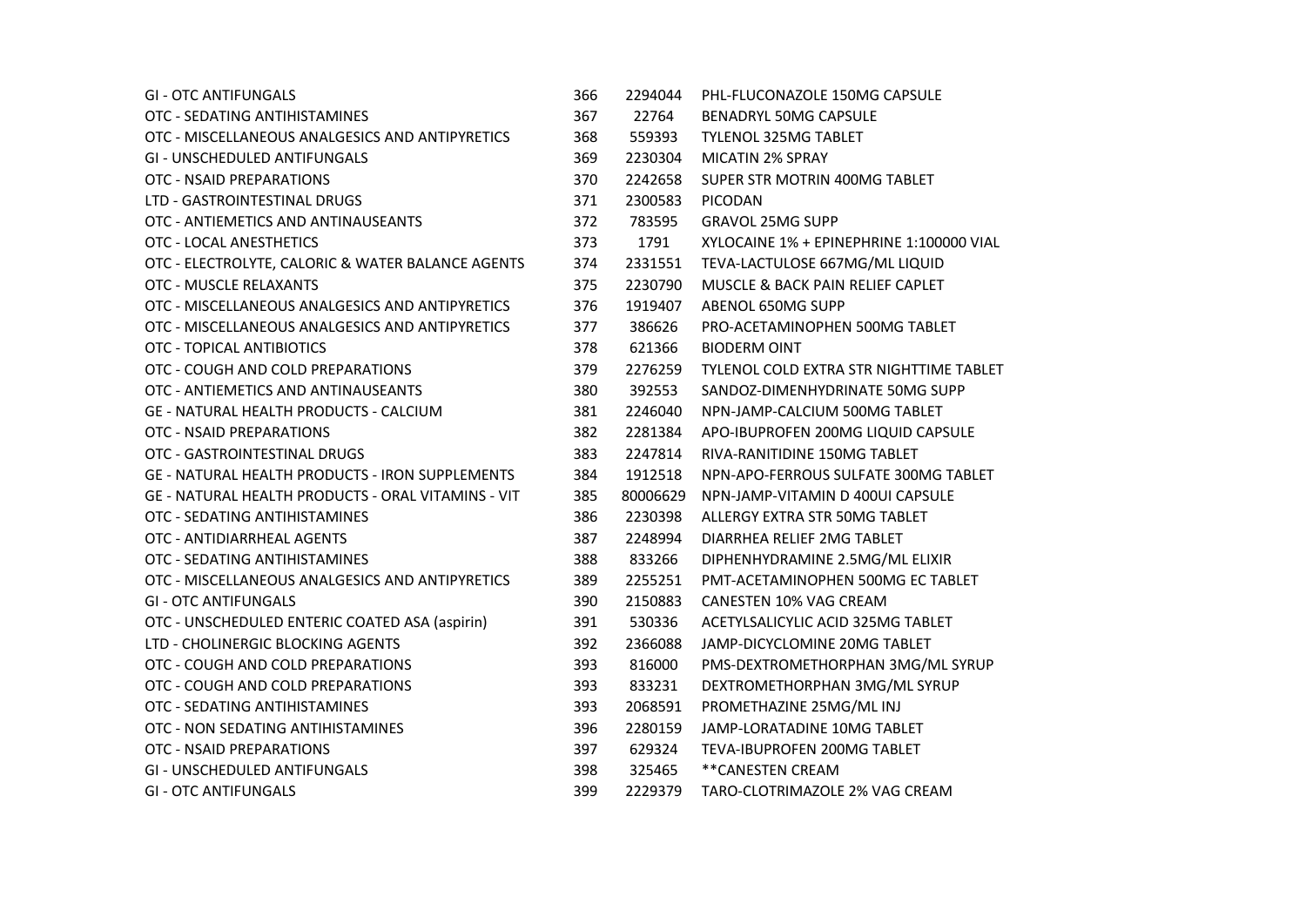| <b>GI - OTC ANTIFUNGALS</b>                               | 366 | 2294044  | PHL-FLUCONAZOLE 150MG CAPSULE               |
|-----------------------------------------------------------|-----|----------|---------------------------------------------|
| OTC - SEDATING ANTIHISTAMINES                             | 367 | 22764    | <b>BENADRYL 50MG CAPSULE</b>                |
| OTC - MISCELLANEOUS ANALGESICS AND ANTIPYRETICS           | 368 | 559393   | <b>TYLENOL 325MG TABLET</b>                 |
| <b>GI - UNSCHEDULED ANTIFUNGALS</b>                       | 369 | 2230304  | <b>MICATIN 2% SPRAY</b>                     |
| OTC - NSAID PREPARATIONS                                  | 370 | 2242658  | SUPER STR MOTRIN 400MG TABLET               |
| LTD - GASTROINTESTINAL DRUGS                              | 371 | 2300583  | <b>PICODAN</b>                              |
| OTC - ANTIEMETICS AND ANTINAUSEANTS                       | 372 | 783595   | <b>GRAVOL 25MG SUPP</b>                     |
| OTC - LOCAL ANESTHETICS                                   | 373 | 1791     | XYLOCAINE 1% + EPINEPHRINE 1:100000 VIAL    |
| OTC - ELECTROLYTE, CALORIC & WATER BALANCE AGENTS         | 374 | 2331551  | TEVA-LACTULOSE 667MG/ML LIQUID              |
| <b>OTC - MUSCLE RELAXANTS</b>                             | 375 | 2230790  | <b>MUSCLE &amp; BACK PAIN RELIEF CAPLET</b> |
| OTC - MISCELLANEOUS ANALGESICS AND ANTIPYRETICS           | 376 | 1919407  | ABENOL 650MG SUPP                           |
| OTC - MISCELLANEOUS ANALGESICS AND ANTIPYRETICS           | 377 | 386626   | PRO-ACETAMINOPHEN 500MG TABLET              |
| OTC - TOPICAL ANTIBIOTICS                                 | 378 | 621366   | <b>BIODERM OINT</b>                         |
| OTC - COUGH AND COLD PREPARATIONS                         | 379 | 2276259  | TYLENOL COLD EXTRA STR NIGHTTIME TABLET     |
| OTC - ANTIEMETICS AND ANTINAUSEANTS                       | 380 | 392553   | SANDOZ-DIMENHYDRINATE 50MG SUPP             |
| <b>GE - NATURAL HEALTH PRODUCTS - CALCIUM</b>             | 381 | 2246040  | NPN-JAMP-CALCIUM 500MG TABLET               |
| OTC - NSAID PREPARATIONS                                  | 382 | 2281384  | APO-IBUPROFEN 200MG LIQUID CAPSULE          |
| OTC - GASTROINTESTINAL DRUGS                              | 383 | 2247814  | RIVA-RANITIDINE 150MG TABLET                |
| <b>GE - NATURAL HEALTH PRODUCTS - IRON SUPPLEMENTS</b>    | 384 | 1912518  | NPN-APO-FERROUS SULFATE 300MG TABLET        |
| <b>GE - NATURAL HEALTH PRODUCTS - ORAL VITAMINS - VIT</b> | 385 | 80006629 | NPN-JAMP-VITAMIN D 400UI CAPSULE            |
| OTC - SEDATING ANTIHISTAMINES                             | 386 | 2230398  | ALLERGY EXTRA STR 50MG TABLET               |
| OTC - ANTIDIARRHEAL AGENTS                                | 387 | 2248994  | DIARRHEA RELIEF 2MG TABLET                  |
| OTC - SEDATING ANTIHISTAMINES                             | 388 | 833266   | DIPHENHYDRAMINE 2.5MG/ML ELIXIR             |
| OTC - MISCELLANEOUS ANALGESICS AND ANTIPYRETICS           | 389 | 2255251  | PMT-ACETAMINOPHEN 500MG EC TABLET           |
| <b>GI - OTC ANTIFUNGALS</b>                               | 390 | 2150883  | <b>CANESTEN 10% VAG CREAM</b>               |
| OTC - UNSCHEDULED ENTERIC COATED ASA (aspirin)            | 391 | 530336   | ACETYLSALICYLIC ACID 325MG TABLET           |
| LTD - CHOLINERGIC BLOCKING AGENTS                         | 392 | 2366088  | JAMP-DICYCLOMINE 20MG TABLET                |
| OTC - COUGH AND COLD PREPARATIONS                         | 393 | 816000   | PMS-DEXTROMETHORPHAN 3MG/ML SYRUP           |
| OTC - COUGH AND COLD PREPARATIONS                         | 393 | 833231   | DEXTROMETHORPHAN 3MG/ML SYRUP               |
| OTC - SEDATING ANTIHISTAMINES                             | 393 | 2068591  | PROMETHAZINE 25MG/ML INJ                    |
| OTC - NON SEDATING ANTIHISTAMINES                         | 396 | 2280159  | JAMP-LORATADINE 10MG TABLET                 |
| OTC - NSAID PREPARATIONS                                  | 397 | 629324   | <b>TEVA-IBUPROFEN 200MG TABLET</b>          |
| <b>GI - UNSCHEDULED ANTIFUNGALS</b>                       | 398 | 325465   | **CANESTEN CREAM                            |
| <b>GI - OTC ANTIFUNGALS</b>                               | 399 | 2229379  | TARO-CLOTRIMAZOLE 2% VAG CREAM              |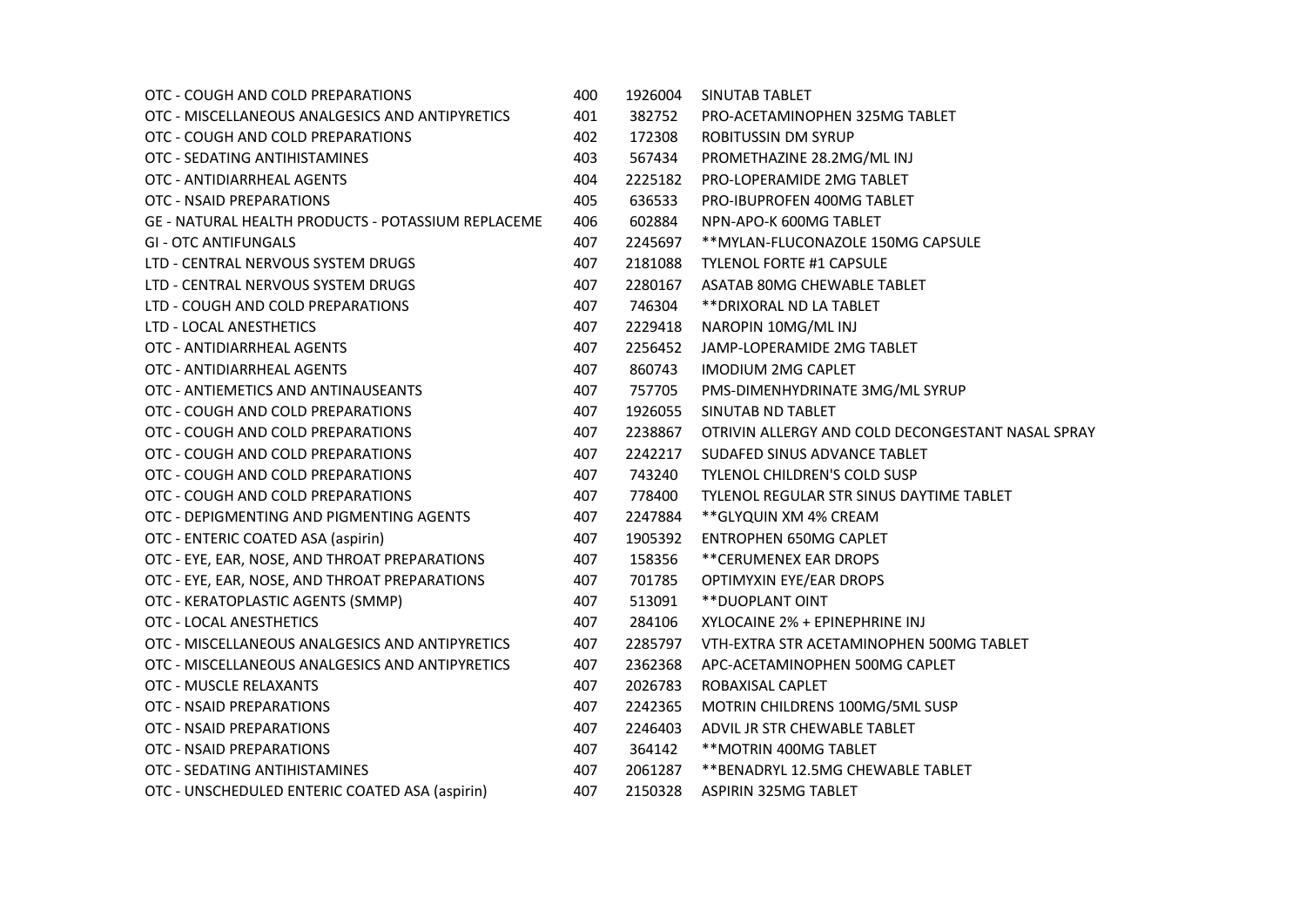| OTC - COUGH AND COLD PREPARATIONS                  | 400 | 1926004 | SINUTAB TABLET                                    |
|----------------------------------------------------|-----|---------|---------------------------------------------------|
| OTC - MISCELLANEOUS ANALGESICS AND ANTIPYRETICS    | 401 | 382752  | PRO-ACETAMINOPHEN 325MG TABLET                    |
| OTC - COUGH AND COLD PREPARATIONS                  | 402 | 172308  | ROBITUSSIN DM SYRUP                               |
| OTC - SEDATING ANTIHISTAMINES                      | 403 | 567434  | PROMETHAZINE 28.2MG/ML INJ                        |
| OTC - ANTIDIARRHEAL AGENTS                         | 404 | 2225182 | PRO-LOPERAMIDE 2MG TABLET                         |
| OTC - NSAID PREPARATIONS                           | 405 | 636533  | PRO-IBUPROFEN 400MG TABLET                        |
| GE - NATURAL HEALTH PRODUCTS - POTASSIUM REPLACEME | 406 | 602884  | NPN-APO-K 600MG TABLET                            |
| <b>GI - OTC ANTIFUNGALS</b>                        | 407 | 2245697 | ** MYLAN-FLUCONAZOLE 150MG CAPSULE                |
| LTD - CENTRAL NERVOUS SYSTEM DRUGS                 | 407 | 2181088 | <b>TYLENOL FORTE #1 CAPSULE</b>                   |
| LTD - CENTRAL NERVOUS SYSTEM DRUGS                 | 407 | 2280167 | ASATAB 80MG CHEWABLE TABLET                       |
| LTD - COUGH AND COLD PREPARATIONS                  | 407 | 746304  | ** DRIXORAL ND LA TABLET                          |
| LTD - LOCAL ANESTHETICS                            | 407 | 2229418 | NAROPIN 10MG/ML INJ                               |
| OTC - ANTIDIARRHEAL AGENTS                         | 407 | 2256452 | JAMP-LOPERAMIDE 2MG TABLET                        |
| OTC - ANTIDIARRHEAL AGENTS                         | 407 | 860743  | <b>IMODIUM 2MG CAPLET</b>                         |
| OTC - ANTIEMETICS AND ANTINAUSEANTS                | 407 | 757705  | PMS-DIMENHYDRINATE 3MG/ML SYRUP                   |
| OTC - COUGH AND COLD PREPARATIONS                  | 407 | 1926055 | SINUTAB ND TABLET                                 |
| OTC - COUGH AND COLD PREPARATIONS                  | 407 | 2238867 | OTRIVIN ALLERGY AND COLD DECONGESTANT NASAL SPRAY |
| OTC - COUGH AND COLD PREPARATIONS                  | 407 | 2242217 | SUDAFED SINUS ADVANCE TABLET                      |
| OTC - COUGH AND COLD PREPARATIONS                  | 407 | 743240  | TYLENOL CHILDREN'S COLD SUSP                      |
| OTC - COUGH AND COLD PREPARATIONS                  | 407 | 778400  | <b>TYLENOL REGULAR STR SINUS DAYTIME TABLET</b>   |
| OTC - DEPIGMENTING AND PIGMENTING AGENTS           | 407 | 2247884 | ** GLYQUIN XM 4% CREAM                            |
| OTC - ENTERIC COATED ASA (aspirin)                 | 407 | 1905392 | <b>ENTROPHEN 650MG CAPLET</b>                     |
| OTC - EYE, EAR, NOSE, AND THROAT PREPARATIONS      | 407 | 158356  | **CERUMENEX EAR DROPS                             |
| OTC - EYE, EAR, NOSE, AND THROAT PREPARATIONS      | 407 | 701785  | OPTIMYXIN EYE/EAR DROPS                           |
| OTC - KERATOPLASTIC AGENTS (SMMP)                  | 407 | 513091  | **DUOPLANT OINT                                   |
| OTC - LOCAL ANESTHETICS                            | 407 | 284106  | XYLOCAINE 2% + EPINEPHRINE INJ                    |
| OTC - MISCELLANEOUS ANALGESICS AND ANTIPYRETICS    | 407 | 2285797 | VTH-EXTRA STR ACETAMINOPHEN 500MG TABLET          |
| OTC - MISCELLANEOUS ANALGESICS AND ANTIPYRETICS    | 407 | 2362368 | APC-ACETAMINOPHEN 500MG CAPLET                    |
| OTC - MUSCLE RELAXANTS                             | 407 | 2026783 | ROBAXISAL CAPLET                                  |
| OTC - NSAID PREPARATIONS                           | 407 | 2242365 | MOTRIN CHILDRENS 100MG/5ML SUSP                   |
| OTC - NSAID PREPARATIONS                           | 407 | 2246403 | ADVIL JR STR CHEWABLE TABLET                      |
| OTC - NSAID PREPARATIONS                           | 407 | 364142  | ** MOTRIN 400MG TABLET                            |
| OTC - SEDATING ANTIHISTAMINES                      | 407 | 2061287 | ** BENADRYL 12.5MG CHEWABLE TABLET                |
| OTC - UNSCHEDULED ENTERIC COATED ASA (aspirin)     | 407 | 2150328 | <b>ASPIRIN 325MG TABLET</b>                       |